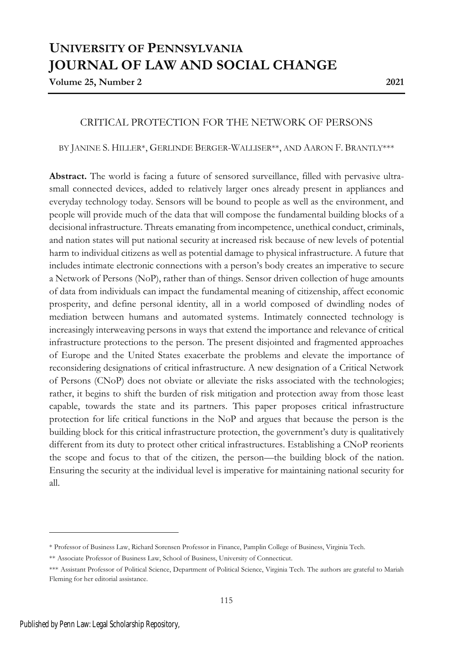# **UNIVERSITY OF PENNSYLVANIA JOURNAL OF LAW AND SOCIAL CHANGE**

**Volume 25, Number 2 2021**

# CRITICAL PROTECTION FOR THE NETWORK OF PERSONS

BY JANINE S. HILLER\*, GERLINDE BERGER-WALLISER\*\*, AND AARON F. BRANTLY\*\*\*

**Abstract.** The world is facing a future of sensored surveillance, filled with pervasive ultrasmall connected devices, added to relatively larger ones already present in appliances and everyday technology today. Sensors will be bound to people as well as the environment, and people will provide much of the data that will compose the fundamental building blocks of a decisional infrastructure. Threats emanating from incompetence, unethical conduct, criminals, and nation states will put national security at increased risk because of new levels of potential harm to individual citizens as well as potential damage to physical infrastructure. A future that includes intimate electronic connections with a person's body creates an imperative to secure a Network of Persons (NoP), rather than of things. Sensor driven collection of huge amounts of data from individuals can impact the fundamental meaning of citizenship, affect economic prosperity, and define personal identity, all in a world composed of dwindling nodes of mediation between humans and automated systems. Intimately connected technology is increasingly interweaving persons in ways that extend the importance and relevance of critical infrastructure protections to the person. The present disjointed and fragmented approaches of Europe and the United States exacerbate the problems and elevate the importance of reconsidering designations of critical infrastructure. A new designation of a Critical Network of Persons (CNoP) does not obviate or alleviate the risks associated with the technologies; rather, it begins to shift the burden of risk mitigation and protection away from those least capable, towards the state and its partners. This paper proposes critical infrastructure protection for life critical functions in the NoP and argues that because the person is the building block for this critical infrastructure protection, the government's duty is qualitatively different from its duty to protect other critical infrastructures. Establishing a CNoP reorients the scope and focus to that of the citizen, the person—the building block of the nation. Ensuring the security at the individual level is imperative for maintaining national security for all.

<sup>\*</sup> Professor of Business Law, Richard Sorensen Professor in Finance, Pamplin College of Business, Virginia Tech.

<sup>\*\*</sup> Associate Professor of Business Law, School of Business, University of Connecticut.

<sup>\*\*\*</sup> Assistant Professor of Political Science, Department of Political Science, Virginia Tech. The authors are grateful to Mariah Fleming for her editorial assistance.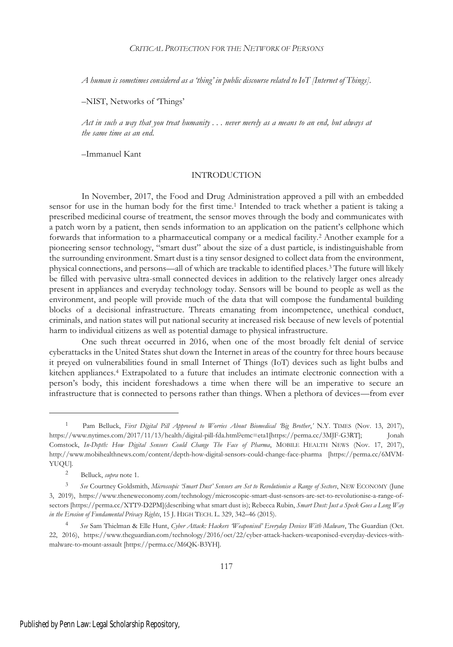*A human is sometimes considered as a 'thing' in public discourse related to IoT [Internet of Things].*

–NIST, Networks of 'Things'

*Act in suchaway that you treat humanity ... never merely as a means to an end, but always at the same time as an end.*

–Immanuel Kant

## INTRODUCTION

In November, 2017, the Food and Drug Administration approved a pill with an embedded sensor for use in the human body for the first time.<sup>1</sup> Intended to track whether a patient is taking a prescribed medicinal course of treatment, the sensor moves through the body and communicates with a patch worn by a patient, then sends information to an application on the patient's cellphone which forwards that information to a pharmaceutical company or a medical facility.<sup>2</sup> Another example for a pioneering sensor technology, "smart dust" about the size of a dust particle, is indistinguishable from the surrounding environment. Smart dust is a tiny sensor designed to collect data from the environment, physical connections, and persons—all of which are trackable to identified places.<sup>3</sup> The future will likely be filled with pervasive ultra-small connected devices in addition to the relatively larger ones already present in appliances and everyday technology today. Sensors will be bound to people as well as the environment, and people will provide much of the data that will compose the fundamental building blocks of a decisional infrastructure. Threats emanating from incompetence, unethical conduct, criminals, and nation states will put national security at increased risk because of new levels of potential harm to individual citizens as well as potential damage to physical infrastructure.

One such threat occurred in 2016, when one of the most broadly felt denial of service cyberattacks in the United States shut down the Internet in areas of the country for three hours because it preyed on vulnerabilities found in small Internet of Things (IoT) devices such as light bulbs and kitchen appliances.<sup>4</sup> Extrapolated to a future that includes an intimate electronic connection with a person's body, this incident foreshadows a time when there will be an imperative to secure an infrastructure that is connected to persons rather than things. When a plethora of devices—from ever

<sup>1</sup> Pam Belluck, *First Digital Pill Approved to Worries About Biomedical 'Big Brother*,*'* N.Y. TIMES (Nov. 13, 2017), https://www.nytimes.com/2017/11/13/health/digital-pill-fda.html?emc=eta1[https://perma.cc/3MJF-G3RT]; Jonah Comstock, *In-Depth: How Digital Sensors Could Change The Face of Pharma*, MOBILE HEALTH NEWS (Nov. 17, 2017), http://www.mobihealthnews.com/content/depth-how-digital-sensors-could-change-face-pharma [https://perma.cc/6MVM-YUOU].

<sup>2</sup> Belluck, *supra* note 1.

<sup>3</sup> *See* Courtney Goldsmith, *Microscopic 'Smart Dust' Sensors are Set to Revolutionise a Range of Sectors*, NEW ECONOMY (June 3, 2019), https://www.theneweconomy.com/technology/microscopic-smart-dust-sensors-are-set-to-revolutionise-a-range-ofsectors [https://perma.cc/XTT9-D2PM](describing what smart dust is); Rebecca Rubin, *Smart Dust: Just a Speck Goes a Long Way in the Erosion of Fundamental Privacy Rights*, 15 J. HIGH TECH. L. 329, 342–46 (2015).

<sup>4</sup> *See* Sam Thielman & Elle Hunt, *Cyber Attack: Hackers 'Weaponised' Everyday Devices With Malware*, The Guardian (Oct. 22, 2016), https://www.theguardian.com/technology/2016/oct/22/cyber-attack-hackers-weaponised-everyday-devices-withmalware-to-mount-assault [https://perma.cc/M6QK-B3YH].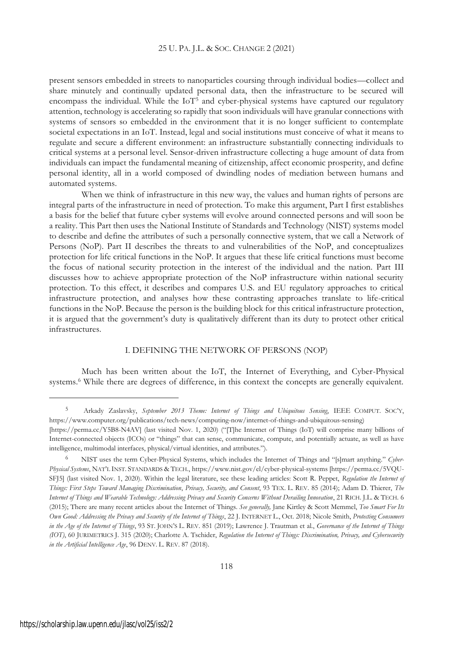present sensors embedded in streets to nanoparticles coursing through individual bodies—collect and share minutely and continually updated personal data, then the infrastructure to be secured will encompass the individual. While the IoT<sup>5</sup> and cyber-physical systems have captured our regulatory attention, technology is accelerating so rapidly that soon individuals will have granular connections with systems of sensors so embedded in the environment that it is no longer sufficient to contemplate societal expectations in an IoT. Instead, legal and social institutions must conceive of what it means to regulate and secure a different environment: an infrastructure substantially connecting individuals to critical systems at a personal level. Sensor-driven infrastructure collecting a huge amount of data from individuals can impact the fundamental meaning of citizenship, affect economic prosperity, and define personal identity, all in a world composed of dwindling nodes of mediation between humans and automated systems.

When we think of infrastructure in this new way, the values and human rights of persons are integral parts of the infrastructure in need of protection. To make this argument, Part I first establishes a basis for the belief that future cyber systems will evolve around connected persons and will soon be a reality. This Part then uses the National Institute of Standards and Technology (NIST) systems model to describe and define the attributes of such a personally connective system, that we call a Network of Persons (NoP). Part II describes the threats to and vulnerabilities of the NoP, and conceptualizes protection for life critical functions in the NoP. It argues that these life critical functions must become the focus of national security protection in the interest of the individual and the nation. Part III discusses how to achieve appropriate protection of the NoP infrastructure within national security protection. To this effect, it describes and compares U.S. and EU regulatory approaches to critical infrastructure protection, and analyses how these contrasting approaches translate to life-critical functions in the NoP. Because the person is the building block for this critical infrastructure protection, it is argued that the government's duty is qualitatively different than its duty to protect other critical infrastructures.

## I. DEFINING THE NETWORK OF PERSONS (NOP)

Much has been written about the IoT, the Internet of Everything, and Cyber-Physical systems.<sup>6</sup> While there are degrees of difference, in this context the concepts are generally equivalent.

<sup>5</sup> Arkady Zaslavsky, *September 2013 Theme: Internet of Things and Ubiquitous Sensing*, IEEE COMPUT. SOC'Y, https://www.computer.org/publications/tech-news/computing-now/internet-of-things-and-ubiquitous-sensing)

<sup>[</sup>https://perma.cc/Y5B8-N4AV] (last visited Nov. 1, 2020) ("[T]he Internet of Things (IoT) will comprise many billions of Internet-connected objects (ICOs) or "things" that can sense, communicate, compute, and potentially actuate, as well as have intelligence, multimodal interfaces, physical/virtual identities, and attributes.").

<sup>6</sup> NIST uses the term Cyber-Physical Systems, which includes the Internet of Things and "[s]mart anything." *Cyber-Physical Systems*, NAT'L INST. STANDARDS & TECH., https://www.nist.gov/el/cyber-physical-systems [https://perma.cc/5VQU-SFJ5] (last visited Nov. 1, 2020). Within the legal literature, see these leading articles: Scott R. Peppet, *Regulation the Internet of Things: First Steps Toward Managing Discrimination*, *Privacy, Security, and Consent*, 93 TEX. L. REV. 85 (2014); Adam D. Thierer, *The Internet of Things and Wearable Technology: Addressing Privacy and Security Concerns Without Derailing Innovation*, 21 RICH. J.L.&TECH. 6 (2015); There are many recent articles about the Internet of Things. *See generally,* Jane Kirtley & Scott Memmel, *Too Smart For Its Own Good: Addressing the Privacy and Security of the Internet of Things*, 22 J. INTERNET L., Oct. 2018; Nicole Smith, *Protecting Consumers in the Age of the Internet of Things*, 93 ST. JOHN'S L. REV. 851 (2019); Lawrence J. Trautman et al., *Governance of the Internet of Things (IOT)*, 60 JURIMETRICS J. 315 (2020); Charlotte A. Tschider, *Regulation the Internet of Things: Discrimination, Privacy, and Cybersecurity in the Artificial Intelligence Age*, 96 DENV. L. REV. 87 (2018).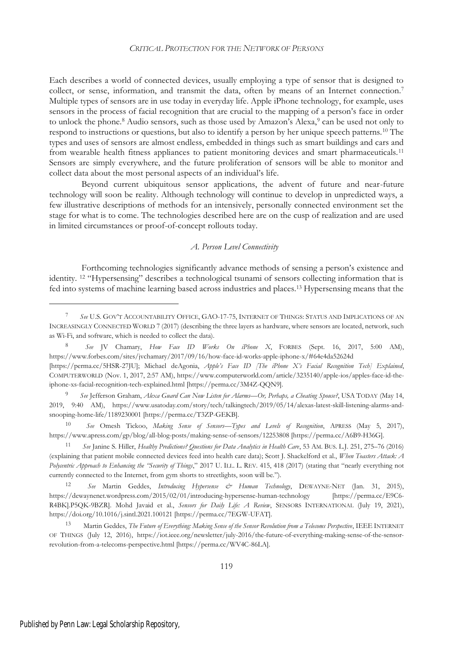Each describes a world of connected devices, usually employing a type of sensor that is designed to collect, or sense, information, and transmit the data, often by means of an Internet connection.<sup>7</sup> Multiple types of sensors are in use today in everyday life. Apple iPhone technology, for example, uses sensors in the process of facial recognition that are crucial to the mapping of a person's face in order to unlock the phone.<sup>8</sup> Audio sensors, such as those used by Amazon's Alexa,<sup>9</sup> can be used not only to respond to instructions or questions, but also to identify a person by her unique speech patterns.<sup>10</sup> The types and uses of sensors are almost endless, embedded in things such as smart buildings and cars and from wearable health fitness appliances to patient monitoring devices and smart pharmaceuticals.<sup>11</sup> Sensors are simply everywhere, and the future proliferation of sensors will be able to monitor and collect data about the most personal aspects of an individual's life.

Beyond current ubiquitous sensor applications, the advent of future and near-future technology will soon be reality. Although technology will continue to develop in unpredicted ways, a few illustrative descriptions of methods for an intensively, personally connected environment set the stage for what is to come. The technologies described here are on the cusp of realization and are used in limited circumstances or proof-of-concept rollouts today.

## *A. Person Level Connectivity*

Forthcoming technologies significantly advance methods of sensing a person's existence and identity. <sup>12</sup> "Hypersensing" describes a technological tsunami of sensors collecting information that is fed into systems of machine learning based across industries and places.<sup>13</sup> Hypersensing means that the

<sup>7</sup> *See* U.S. GOV'<sup>T</sup> ACCOUNTABILITY OFFICE, GAO-17-75, INTERNET OF THINGS: STATUS AND IMPLICATIONS OF AN INCREASINGLY CONNECTED WORLD 7 (2017) (describing the three layers as hardware, where sensors are located, network, such as Wi-Fi, and software, which is needed to collect the data).

<sup>8</sup> *See* JV Chamary, *How Face ID Works On iPhone X*, FORBES (Sept. 16, 2017, 5:00 AM), https://www.forbes.com/sites/jvchamary/2017/09/16/how-face-id-works-apple-iphone-x/#64e4da52624d [https://perma.cc/5HSR-27JU]; Michael deAgonia, *Apple's Face ID [The iPhone X's Facial Recognition Tech] Explained*, COMPUTERWORLD (Nov. 1, 2017, 2:57 AM), https://www.computerworld.com/article/3235140/apple-ios/apples-face-id-theiphone-xs-facial-recognition-tech-explained.html [https://perma.cc/3M4Z-QQN9].

<sup>9</sup> *See* Jefferson Graham, *Alexa Guard Can Now Listen for Alarms—Or, Perhaps, a Cheating Spouse?*, USA TODAY (May 14, 2019, 9:40 AM), https://www.usatoday.com/story/tech/talkingtech/2019/05/14/alexas-latest-skill-listening-alarms-andsnooping-home-life/1189230001 [https://perma.cc/T3ZP-GEKB].

<sup>10</sup> *See* Omesh Tickoo, *Making Sense of Sensors—Types and Levels of Recognition*, APRESS (May 5, 2017), https://www.apress.com/gp/blog/all-blog-posts/making-sense-of-sensors/12253808 [https://perma.cc/A6B9-H36G].

<sup>11</sup> *See* Janine S. Hiller, *Healthy Predictions? Questions for Data Analytics in Health Care*, 53 AM. BUS. L.J. 251, 275–76 (2016) (explaining that patient mobile connected devices feed into health care data); Scott J. Shackelford et al., *When Toasters Attack: A Polycentric Approach to Enhancing the "Security of Things*," 2017 U. ILL. L. REV. 415, 418 (2017) (stating that "nearly everything not currently connected to the Internet, from gym shorts to streetlights, soon will be.").

<sup>12</sup> *See* Martin Geddes, *Introducing Hypersense & Human Technology*, DEWAYNE-NET (Jan. 31, 2015), https://dewaynenet.wordpress.com/2015/02/01/introducing-hypersense-human-technology [https://perma.cc/E9C6- R4BK].P5QK-9BZR]. Mohd Javaid et al., *Sensors for Daily Life: A Review*, SENSORS INTERNATIONAL (July 19, 2021), https://doi.org/10.1016/j.sintl.2021.100121 [https://perma.cc/7EGW-UFAT].

<sup>13</sup> Martin Geddes, *The Future of Everything: Making Sense of the Sensor Revolution from a Telecoms Perspective*, IEEE INTERNET OF THINGS (July 12, 2016), https://iot.ieee.org/newsletter/july-2016/the-future-of-everything-making-sense-of-the-sensorrevolution-from-a-telecoms-perspective.html [https://perma.cc/WV4C-86LA].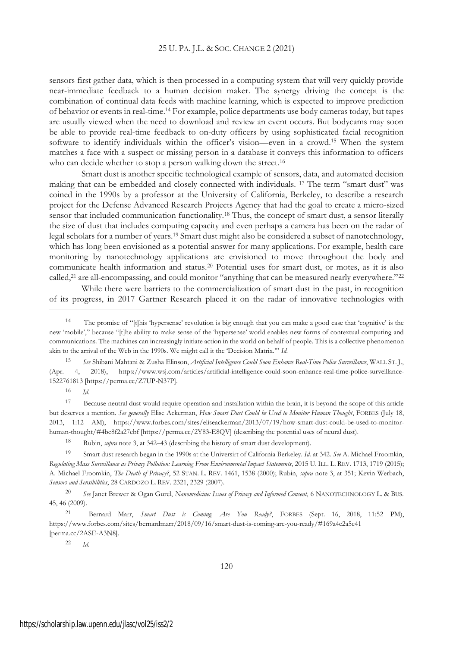#### 25 U. PA. J.L.&SOC. CHANGE 2 (2021)

sensors first gather data, which is then processed in a computing system that will very quickly provide near-immediate feedback to a human decision maker. The synergy driving the concept is the combination of continual data feeds with machine learning, which is expected to improve prediction of behavior or events in real-time.<sup>14</sup> For example, police departments use body cameras today, but tapes are usually viewed when the need to download and review an event occurs. But bodycams may soon be able to provide real-time feedback to on-duty officers by using sophisticated facial recognition software to identify individuals within the officer's vision—even in a crowd.<sup>15</sup> When the system matches a face with a suspect or missing person in a database it conveys this information to officers who can decide whether to stop a person walking down the street.<sup>16</sup>

Smart dust is another specific technological example of sensors, data, and automated decision making that can be embedded and closely connected with individuals. <sup>17</sup> The term "smart dust" was coined in the 1990s by a professor at the University of California, Berkeley, to describe a research project for the Defense Advanced Research Projects Agency that had the goal to createamicro-sized sensor that included communication functionality.<sup>18</sup> Thus, the concept of smart dust, a sensor literally the size of dust that includes computing capacity and even perhaps a camera has been on the radar of legal scholars for a number of years.<sup>19</sup> Smart dust might also be considered a subset of nanotechnology, which has long been envisioned as a potential answer for many applications. For example, health care monitoring by nanotechnology applications are envisioned to move throughout the body and communicate health information and status.<sup>20</sup> Potential uses for smart dust, or motes, as it is also called,<sup>21</sup> are all-encompassing, and could monitor "anything that can be measured nearly everywhere."<sup>22</sup>

While there were barriers to the commercialization of smart dust in the past, in recognition of its progress, in 2017 Gartner Research placed it on the radar of innovative technologies with

<sup>15</sup> *See* Shibani Mahtani & Zusha Elinson, *Artificial Intelligence Could Soon Enhance Real-Time Police Surveillance*, WALL ST. J., (Apr. 4, 2018), https://www.wsj.com/articles/artificial-intelligence-could-soon-enhance-real-time-police-surveillance-1522761813 [https://perma.cc/Z7UP-N37P].

<sup>16</sup> *Id.*

<sup>17</sup> Because neutral dust would require operation and installation within the brain, it is beyond the scope of this article but deserves a mention. *See generally* Elise Ackerman, *How Smart Dust Could be Used to Monitor Human Thought*, FORBES (July 18, 2013, 1:12 AM), https://www.forbes.com/sites/eliseackerman/2013/07/19/how-smart-dust-could-be-used-to-monitorhuman-thought/#4bc8f2a27ebf [https://perma.cc/2Y83-E8QV] (describing the potential uses of neural dust).

<sup>18</sup> Rubin, *supra* note 3, at 342–43 (describing the history of smart dust development).

<sup>20</sup> *See* Janet Brewer & Ogan Gurel, *Nanomedicine: Issues of Privacy and Informed Consent*,6NANOTECHNOLOGY L. & BUS. 45, 46 (2009).

<sup>21</sup> Bernard Marr, *Smart Dust is Coming. Are You Ready?*, FORBES (Sept. 16, 2018, 11:52 PM), https://www.forbes.com/sites/bernardmarr/2018/09/16/smart-dust-is-coming-are-you-ready/#169a4c2a5e41 [perma.cc/2ASE-A3N8].

<sup>22</sup> *Id.*

<sup>14</sup> The promise of "[t]his 'hypersense' revolution is big enough that you can make a good case that 'cognitive' is the new 'mobile'," because "[t]he ability to make sense of the 'hypersense' world enables new forms of contextual computing and communications. The machines can increasingly initiate action in the world on behalf of people. This is a collective phenomenon akin to the arrival of the Web in the 1990s. We might call it the 'Decision Matrix.'" *Id.*

<sup>19</sup> Smart dust research began in the 1990s at the Universirt of California Berkeley. *Id.* at 342. *See* A. Michael Froomkin, *Regulating Mass Surveillance as Privacy Pollution: Learning From Environmental Impact Statements*, 2015 U. ILL. L. REV. 1713, 1719 (2015); A. Michael Froomkin, *The Death of Privacy?*, 52 STAN. L. REV. 1461, 1538 (2000); Rubin, *supra* note 3, at 351; Kevin Werbach, *Sensors and Sensibilities*, 28 CARDOZO L. REV. 2321, 2329 (2007).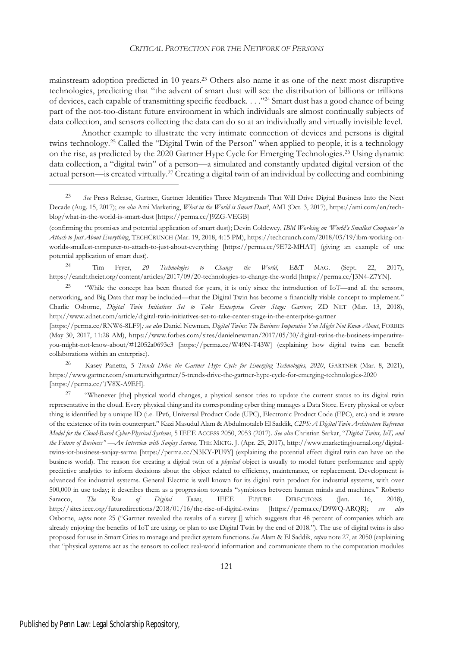mainstream adoption predicted in 10 years.<sup>23</sup> Others also name it as one of the next most disruptive technologies, predicting that "the advent of smart dust will see the distribution of billions or trillions of devices, each capable of transmitting specific feedback. . . ."<sup>24</sup> Smart dust has a good chance of being part of the not-too-distant future environment in which individuals are almost continually subjects of data collection, and sensors collecting the data can do so at an individually and virtually invisible level.

Another example to illustrate the very intimate connection of devices and persons is digital twins technology.<sup>25</sup> Called the "Digital Twin of the Person" when applied to people, it is a technology on the rise, as predicted by the 2020 Gartner Hype Cycle for Emerging Technologies.<sup>26</sup> Using dynamic data collection, a "digital twin" of a person—a simulated and constantly updated digital version of the actual person—is created virtually.<sup>27</sup> Creating a digital twin of an individual by collecting and combining

<sup>24</sup> Tim Fryer, *20 Technologies to Change the World*, E&T MAG. (Sept. 22, 2017), https://eandt.theiet.org/content/articles/2017/09/20-technologies-to-change-the-world [https://perma.cc/J3N4-Z7YN].

<sup>25</sup> "While the concept has been floated for years, it is only since the introduction of IoT—and all the sensors, networking, and Big Data that may be included—that the Digital Twin has become a financially viable concept to implement." Charlie Osborne, *Digital Twin Initiatives Set to Take Enterprise Center Stage: Gartner*, ZD NET (Mar. 13, 2018), http://www.zdnet.com/article/digital-twin-initiatives-set-to-take-center-stage-in-the-enterprise-gartner

[https://perma.cc/RNW6-8LF9]*; see also* Daniel Newman, *Digital Twins: The Business Imperative You Might Not Know About*, FORBES (May 30, 2017, 11:28 AM), https://www.forbes.com/sites/danielnewman/2017/05/30/digital-twins-the-business-imperativeyou-might-not-know-about/#12052a0693c3 [https://perma.cc/W49N-T43W] (explaining how digital twins can benefit collaborations within an enterprise).

<sup>26</sup> Kasey Panetta, 5 *Trends Drive the Gartner Hype Cycle for Emerging Technologies, 2020*, GARTNER (Mar. 8, 2021), https://www.gartner.com/smarterwithgartner/5-trends-drive-the-gartner-hype-cycle-for-emerging-technologies-2020 [https://perma.cc/TV8X-A9EH].

<sup>27</sup> "Whenever [the] physical world changes, a physical sensor tries to update the current status to its digital twin representative in the cloud. Every physical thing and its corresponding cyber thing manages a Data Store. Every physical or cyber thing is identified by a unique ID (i.e. IPv6, Universal Product Code (UPC), Electronic Product Code (EPC), etc.) and is aware of the existence of its twin counterpart." Kazi Masudul Alam & Abdulmotaleb El Saddik, *C2PS: A Digital Twin Architecture Reference Model for the Cloud-Based Cyber-Physical Systems*, 5 IEEE ACCESS 2050, 2053 (2017). *See also* Christian Sarkar, "*Digital Twins, IoT, and the Future of Business" —An Interview with Sanjay Sarma,* THE MKTG. J. (Apr. 25, 2017), http://www.marketingjournal.org/digitaltwins-iot-business-sanjay-sarma [https://perma.cc/N3KY-PU9Y] (explaining the potential effect digital twin can have on the business world). The reason for creating a digital twin of a *physical* object is usually to model future performance and apply predictive analytics to inform decisions about the object related to efficiency, maintenance, or replacement. Development is advanced for industrial systems. General Electric is well known for its digital twin product for industrial systems, with over 500,000 in use today; it describes them as a progression towards "symbioses between human minds and machines*.*" Roberto Saracco, *The Rise of Digital Twins*, IEEE FUTURE DIRECTIONS (Jan. 16, 2018), http://sites.ieee.org/futuredirections/2018/01/16/the-rise-of-digital-twins [https://perma.cc/D9WQ-ARQR]; *see also* Osborne, *supra* note 25 ("Gartner revealed the results of a survey [] which suggests that 48 percent of companies which are already enjoying the benefits of IoT are using, or plan to use Digital Twin by the end of 2018."). The use of digital twins is also proposed for use in Smart Cities to manage and predict system functions. *See* Alam & El Saddik, *supra* note 27, at 2050 (explaining that "physical systems act as the sensors to collect real-world information and communicate them to the computation modules

<sup>23</sup> *See* Press Release, Gartner, Gartner Identifies Three Megatrends That Will Drive Digital Business Into the Next Decade (Aug. 15, 2017); *see also* Ami Marketing, *What in the World is Smart Dust?*, AMI (Oct. 3, 2017), https://ami.com/en/techblog/what-in-the-world-is-smart-dust [https://perma.cc/J9ZG-VEGB]

<sup>(</sup>confirming the promises and potential application of smart dust); Devin Coldewey, *IBM Working on 'World's Smallest Computer' to Attach to Just About Everything*, TECHCRUNCH (Mar. 19, 2018, 4:15 PM), https://techcrunch.com/2018/03/19/ibm-working-onworlds-smallest-computer-to-attach-to-just-about-everything [https://perma.cc/9E72-MHAT] (giving an example of one potential application of smart dust).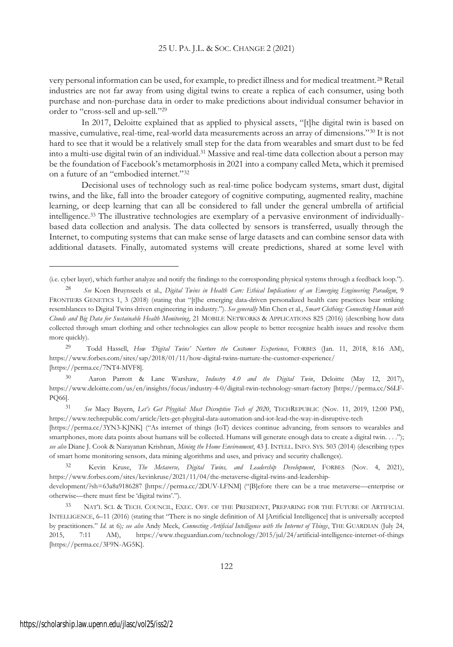very personal information can be used, for example, to predict illness and for medical treatment.<sup>28</sup> Retail industries are not far away from using digital twins to create a replica of each consumer, using both purchase and non-purchase data in order to make predictions about individual consumer behavior in order to "cross-sell and up-sell."<sup>29</sup>

In 2017, Deloitte explained that as applied to physical assets, "[t]he digital twin is based on massive, cumulative, real-time, real-world data measurements across an array of dimensions."<sup>30</sup> It is not hard to see that it would be a relatively small step for the data from wearables and smart dust to be fed into a multi-use digital twin of an individual.<sup>31</sup> Massive and real-time data collection about a person may be the foundation of Facebook's metamorphosis in 2021 into a company called Meta, which it premised on a future of an "embodied internet."<sup>32</sup>

Decisional uses of technology such as real-time police bodycam systems, smart dust, digital twins, and the like, fall into the broader category of cognitive computing, augmented reality, machine learning, or deep learning that can all be considered to fall under the general umbrella of artificial intelligence.<sup>33</sup> The illustrative technologies are exemplary of a pervasive environment of individuallybased data collection and analysis. The data collected by sensors is transferred, usually through the Internet, to computing systems that can make sense of large datasets and can combine sensor data with additional datasets. Finally, automated systems will create predictions, shared at some level with

<sup>30</sup> Aaron Parrott & Lane Warshaw, *Industry 4.0 and the Digital Twin*, Deloitte (May 12, 2017), https://www.deloitte.com/us/en/insights/focus/industry-4-0/digital-twin-technology-smart-factory [https://perma.cc/S6LF-PQ66].

<sup>31</sup> *See* Macy Bayern, *Let's Get Phygital: Most Disruptive Tech of 2020*, TECHREPUBLIC (Nov. 11, 2019, 12:00 PM), https://www.techrepublic.com/article/lets-get-phygital-data-automation-and-iot-lead-the-way-in-disruptive-tech

[https://perma.cc/3YN3-KJNK] ("As internet of things (IoT) devices continue advancing, from sensors to wearables and smartphones, more data points about humans will be collected. Humans will generate enough data to create a digital twin. . . ."); *see also* Diane J. Cook & Narayanan Krishnan, *Mining the Home Environment*, 43 J. INTELL. INFO. SYS. 503 (2014) (describing types of smart home monitoring sensors, data mining algorithms and uses, and privacy and security challenges).

<sup>32</sup> Kevin Kruse, *The Metaverse, Digital Twins, and Leadership Development*, FORBES (Nov. 4, 2021), https://www.forbes.com/sites/kevinkruse/2021/11/04/the-metaverse-digital-twins-and-leadershipdevelopment/?sh=63a8a9186287 [https://perma.cc/2DUV-LFNM] ("[B]efore there can be a true metaverse—enterprise or

otherwise—there must first be 'digital twins'.").

<sup>33</sup> NAT'<sup>L</sup> SCI.&TECH. COUNCIL, EXEC. OFF. OF THE PRESIDENT, PREPARING FOR THE FUTURE OF ARTIFICIAL INTELLIGENCE, 6–11 (2016) (stating that "There is no single definition of AI [Artificial Intelligence] that is universally accepted by practitioners." *Id.* at 6)*; see also* Andy Meek, *Connecting Artificial Intelligence with the Internet of Things*, THE GUARDIAN (July 24, 2015, 7:11 AM), https://www.theguardian.com/technology/2015/jul/24/artificial-intelligence-internet-of-things [https://perma.cc/3F9N-AG5K].

<sup>(</sup>i.e. cyber layer), which further analyze and notify the findings to the corresponding physical systems through a feedback loop.").

<sup>28</sup> *See* Koen Bruynseels et al., *Digital Twins in Health Care: Ethical Implications of an Emerging Engineering Paradigm*, 9 FRONTIERS GENETICS 1, 3 (2018) (stating that "[t]he emerging data-driven personalized health care practices bear striking resemblances to Digital Twins driven engineering in industry."). *See generally* Min Chen et al., *Smart Clothing: Connecting Human with Clouds and Big Data for Sustainable Health Monitoring*, 21 MOBILE NETWORKS & APPLICATIONS 825 (2016) (describing how data collected through smart clothing and other technologies can allow people to better recognize health issues and resolve them more quickly).

<sup>29</sup> Todd Hassell, *How 'Digital Twins' Nurture the Customer Experience*, FORBES (Jan. 11, 2018, 8:16 AM), https://www.forbes.com/sites/sap/2018/01/11/how-digital-twins-nurture-the-customer-experience/ [https://perma.cc/7NT4-MVF8].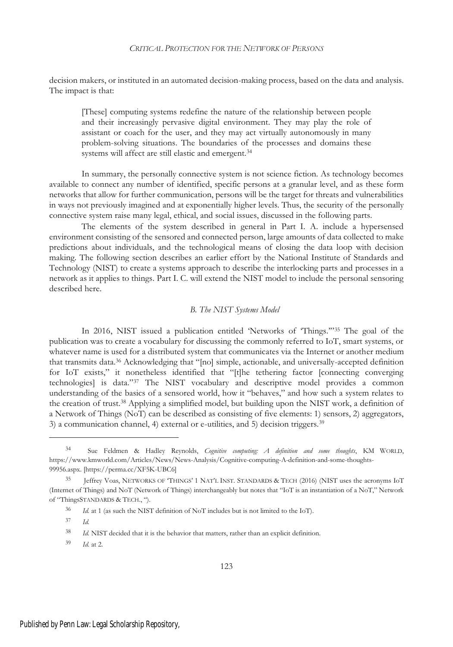decision makers, or instituted in an automated decision-making process, based on the data and analysis. The impact is that:

[These] computing systems redefine the nature of the relationship between people and their increasingly pervasive digital environment. They may play the role of assistant or coach for the user, and they may act virtually autonomously in many problem-solving situations. The boundaries of the processes and domains these systems will affect are still elastic and emergent.<sup>34</sup>

In summary, the personally connective system is not science fiction. As technology becomes available to connect any number of identified, specific persons at a granular level, and as these form networks that allow for further communication, persons will be the target for threats and vulnerabilities in ways not previously imagined and at exponentially higher levels. Thus, the security of the personally connective system raise many legal, ethical, and social issues, discussed in the following parts.

The elements of the system described in general in Part I. A. include a hypersensed environment consisting of the sensored and connected person, large amounts of data collected to make predictions about individuals, and the technological means of closing the data loop with decision making. The following section describes an earlier effort by the National Institute of Standards and Technology (NIST) to create a systems approach to describe the interlocking parts and processes in a network as it applies to things. Part I. C. will extend the NIST model to include the personal sensoring described here.

#### *B. The NIST Systems Model*

In 2016, NIST issued a publication entitled 'Networks of 'Things.'"<sup>35</sup> The goal of the publication was to create a vocabulary for discussing the commonly referred to IoT, smart systems, or whatever name is used for a distributed system that communicates via the Internet or another medium that transmits data.<sup>36</sup> Acknowledging that "[no] simple, actionable, and universally-accepted definition for IoT exists," it nonetheless identified that "[t]he tethering factor [connecting converging technologies] is data."<sup>37</sup> The NIST vocabulary and descriptive model provides a common understanding of the basics of a sensored world, how it "behaves," and how such a system relates to the creation of trust.<sup>38</sup> Applying a simplified model, but building upon the NIST work, a definition of a Network of Things (NoT) can be described as consisting of five elements: 1) sensors, 2) aggregators, 3) a communication channel, 4) external or e-utilities, and 5) decision triggers.<sup>39</sup>

<sup>34</sup> Sue Feldmen & Hadley Reynolds, *Cognitive computing: A definition and some thoughts*, KM WORLD, https://www.kmworld.com/Articles/News/News-Analysis/Cognitive-computing-A-definition-and-some-thoughts-99956.aspx. [https://perma.cc/XF5K-UBC6]

Jeffrey Voas, NETWORKS OF 'THINGS' 1 NAT'L INST. STANDARDS & TECH (2016) (NIST uses the acronyms IoT (Internet of Things) and NoT (Network of Things) interchangeably but notes that "IoT is an instantiation of a NoT," Network of "ThingsSTANDARDS & TECH., ").

<sup>36</sup> *Id.* at 1 (as such the NIST definition of NoT includes but is not limited to the IoT).

<sup>37</sup> *Id.*

<sup>38</sup> *Id.* NIST decided that it is the behavior that matters, rather than an explicit definition.

<sup>39</sup> *Id.* at 2.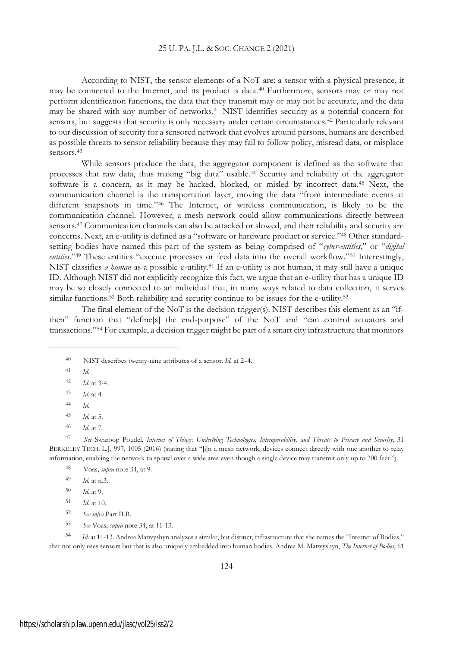#### 25 U. PA. J.L.&SOC. CHANGE 2 (2021)

According to NIST, the sensor elements of a NoT are: a sensor with a physical presence, it may be connected to the Internet, and its product is data.<sup>40</sup> Furthermore, sensors may or may not perform identification functions, the data that they transmit may or may not be accurate, and the data may be shared with any number of networks.<sup>41</sup> NIST identifies security as a potential concern for sensors, but suggests that security is only necessary under certain circumstances.<sup>42</sup> Particularly relevant to our discussion of security for a sensored network that evolves around persons, humans are described as possible threats to sensor reliability because they may fail to follow policy, misread data, or misplace sensors.<sup>43</sup>

While sensors produce the data, the aggregator component is defined as the software that processes that raw data, thus making "big data" usable.<sup>44</sup> Security and reliability of the aggregator software is a concern, as it may be hacked, blocked, or misled by incorrect data.<sup>45</sup> Next, the communication channel is the transportation layer, moving the data "from intermediate events at different snapshots in time."<sup>46</sup> The Internet, or wireless communication, is likely to be the communication channel. However, a mesh network could allow communications directly between sensors.<sup>47</sup> Communication channels can also be attacked or slowed, and their reliability and security are concerns. Next, an e-utility is defined as a "software or hardware product or service."<sup>48</sup> Other standardsetting bodies have named this part of the system as being comprised of "*cyber-entities*," or "*digital entities*."<sup>49</sup> These entities "execute processes or feed data into the overall workflow."<sup>50</sup> Interestingly, NIST classifies *a human* as a possible e-utility.<sup>51</sup> If an e-utility is not human, it may still have a unique ID. Although NIST did not explicitly recognize this fact, we argue that an e-utility that has a unique ID may be so closely connected to an individual that, in many ways related to data collection, it serves similar functions.<sup>52</sup> Both reliability and security continue to be issues for the e-utility.<sup>53</sup>

The final element of the NoT is the decision trigger(s). NIST describes this element as an "ifthen" function that "define[s] the end-purpose" of the NoT and "can control actuators and transactions."<sup>54</sup> For example, a decision trigger might be part of a smart city infrastructure that monitors

<sup>47</sup> *See* Swaroop Poudel, *Internet of Things: Underlying Technologies, Interoperability, and Threats to Privacy and Security*, 31 BERKELEY TECH. L.J. 997, 1005 (2016) (stating that "[i]n a mesh network, devices connect directly with one another to relay information, enabling the network to sprawl over a wide area even though a single device may transmit only up to 300 feet.").

<sup>53</sup> *See* Voas, *supra* note 34, at 11-13.

<sup>54</sup> *Id*. at 11-13. Andrea Matwyshyn analyzes a similar, but distinct, infrastructure that she names the "Internet of Bodies," that not only uses sensors but that is also uniquely embedded into human bodies. Andrea M. Matwyshyn, *The Internet of Bodies*, 61

<sup>40</sup> NIST describes twenty-nine attributes of a sensor. *Id.* at 2–4.

<sup>41</sup> *Id.*

<sup>42</sup> *Id.* at 3-4.

<sup>43</sup> *Id.* at 4.

<sup>44</sup> *Id.*

<sup>45</sup> *Id.* at 5.

<sup>46</sup> *Id.* at 7.

<sup>48</sup> Voas, *supra* note 34, at 9.

<sup>49</sup> *Id.* at n.3.

<sup>50</sup> *Id.* at 9.

<sup>51</sup> *Id.* at 10.

<sup>52</sup> *See infra* Part II.B.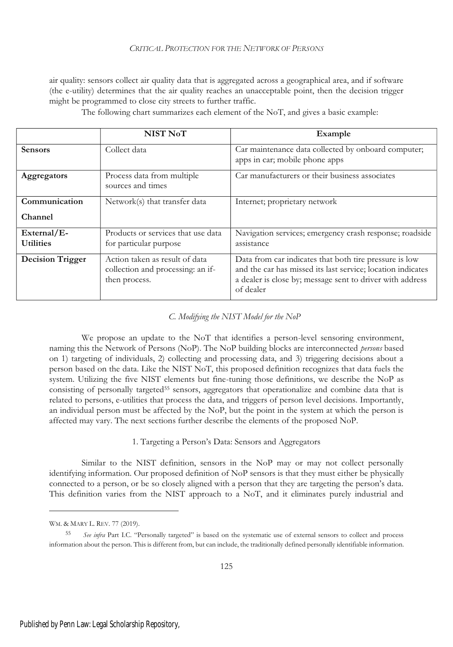air quality: sensors collect air quality data that is aggregated across a geographical area, and if software (the e-utility) determines that the air quality reaches an unacceptable point, then the decision trigger might be programmed to close city streets to further traffic.

|                                 | NIST NoT                                                                             | Example                                                                                                                                                                                         |
|---------------------------------|--------------------------------------------------------------------------------------|-------------------------------------------------------------------------------------------------------------------------------------------------------------------------------------------------|
| <b>Sensors</b>                  | Collect data                                                                         | Car maintenance data collected by onboard computer;<br>apps in car; mobile phone apps                                                                                                           |
| Aggregators                     | Process data from multiple<br>sources and times                                      | Car manufacturers or their business associates                                                                                                                                                  |
| Communication<br>Channel        | Network(s) that transfer data                                                        | Internet; proprietary network                                                                                                                                                                   |
| External/E-<br><b>Utilities</b> | Products or services that use data<br>for particular purpose                         | Navigation services; emergency crash response; roadside<br>assistance                                                                                                                           |
| <b>Decision Trigger</b>         | Action taken as result of data<br>collection and processing: an if-<br>then process. | Data from car indicates that both tire pressure is low<br>and the car has missed its last service; location indicates<br>a dealer is close by; message sent to driver with address<br>of dealer |

The following chart summarizes each element of the NoT, and gives a basic example:

# *C. Modifying the NIST Model for the NoP*

We propose an update to the NoT that identifies a person-level sensoring environment, naming this the Network of Persons (NoP). The NoP building blocks are interconnected *persons* based on 1) targeting of individuals, 2) collecting and processing data, and 3) triggering decisions about a person based on the data. Like the NIST NoT, this proposed definition recognizes that data fuels the system. Utilizing the five NIST elements but fine-tuning those definitions, we describe the NoP as consisting of personally targeted<sup>55</sup> sensors, aggregators that operationalize and combine data that is related to persons, e-utilities that process the data, and triggers of person level decisions. Importantly, an individual person must be affected by the NoP, but the point in the system at which the person is affected may vary. The next sections further describe the elements of the proposed NoP.

## 1. Targeting a Person's Data: Sensors and Aggregators

Similar to the NIST definition, sensors in the NoP may or may not collect personally identifying information. Our proposed definition of NoP sensors is that they must either be physically connected to a person, or be so closely aligned with a person that they are targeting the person's data. This definition varies from the NIST approach to a NoT, and it eliminates purely industrial and

WM. & MARY L. REV. 77 (2019).

See infra Part I.C. "Personally targeted" is based on the systematic use of external sensors to collect and process information about the person. This is different from, but can include, the traditionally defined personally identifiable information.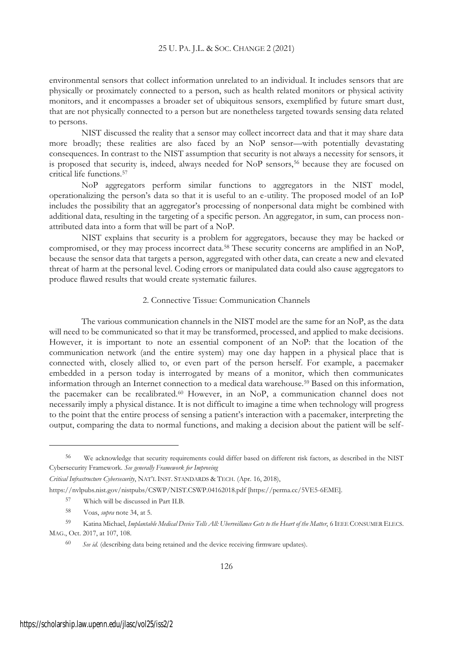## 25 U. PA. J.L.&SOC. CHANGE 2 (2021)

environmental sensors that collect information unrelated to an individual. It includes sensors that are physically or proximately connected to a person, such as health related monitors or physical activity monitors, and it encompasses a broader set of ubiquitous sensors, exemplified by future smart dust, that are not physically connected to a person but are nonetheless targeted towards sensing data related to persons.

NIST discussed the reality that a sensor may collect incorrect data and that it may share data more broadly; these realities are also faced by an NoP sensor—with potentially devastating consequences. In contrast to the NIST assumption that security is not always a necessity for sensors, it is proposed that security is, indeed, always needed for NoP sensors,<sup>56</sup> because they are focused on critical life functions.<sup>57</sup>

NoP aggregators perform similar functions to aggregators in the NIST model, operationalizing the person's data so that it is useful to an e-utility. The proposed model of an IoP includes the possibility that an aggregator's processing of nonpersonal data might be combined with additional data, resulting in the targeting of a specific person. An aggregator, in sum, can process nonattributed data into a form that will be part of a NoP.

NIST explains that security is a problem for aggregators, because they may be hacked or compromised, or they may process incorrect data.<sup>58</sup> These security concerns are amplified in an NoP, because the sensor data that targets a person, aggregated with other data, can create a new and elevated threat of harm at the personal level. Coding errors or manipulated data could also cause aggregators to produce flawed results that would create systematic failures.

## 2. Connective Tissue: Communication Channels

The various communication channels in the NIST model are the same for an NoP, as the data will need to be communicated so that it may be transformed, processed, and applied to make decisions. However, it is important to note an essential component of an NoP: that the location of the communication network (and the entire system) may one day happen in a physical place that is connected with, closely allied to, or even part of the person herself. For example, a pacemaker embedded in a person today is interrogated by means of a monitor, which then communicates information through an Internet connection to a medical data warehouse.<sup>59</sup> Based on this information, the pacemaker can be recalibrated.<sup>60</sup> However, in an NoP, a communication channel does not necessarily imply a physical distance. It is not difficult to imagine a time when technology will progress to the point that the entire process of sensing a patient's interaction with a pacemaker, interpreting the output, comparing the data to normal functions, and making a decision about the patient will be self-

*Critical Infrastructure Cybersecurity*, NAT'L INST. STANDARDS & TECH. (Apr. 16, 2018),

https://nvlpubs.nist.gov/nistpubs/CSWP/NIST.CSWP.04162018.pdf [https://perma.cc/5VE5-6EME].

<sup>56</sup> We acknowledge that security requirements could differ based on different risk factors, as described in the NIST Cybersecurity Framework. *See generally Framework for Improving*

<sup>57</sup> Which will be discussed in Part II.B.

<sup>58</sup> Voas, *supra* note 34, at 5.

<sup>59</sup> Katina Michael, *Implantable Medical Device Tells All: Uberveillance Gets to the Heart of the Matter*,6IEEE CONSUMER ELECS. MAG., Oct. 2017, at 107, 108.

See id. (describing data being retained and the device receiving firmware updates).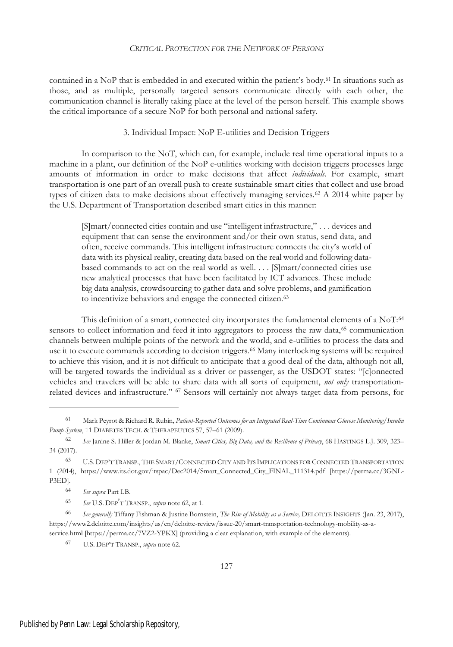contained in a NoP that is embedded in and executed within the patient's body.<sup>61</sup> In situations such as those, and as multiple, personally targeted sensors communicate directly with each other, the communication channel is literally taking place at the level of the person herself. This example shows the critical importance of a secure NoP for both personal and national safety.

#### 3. Individual Impact: NoP E-utilities and Decision Triggers

In comparison to the NoT, which can, for example, include real time operational inputs to a machine in a plant, our definition of the NoP e-utilities working with decision triggers processes large amounts of information in order to make decisions that affect *individuals*. For example, smart transportation is one part of an overall push to create sustainable smart cities that collect and use broad types of citizen data to make decisions about effectively managing services.<sup>62</sup> A 2014 white paper by the U.S. Department of Transportation described smart cities in this manner:

[S]mart/connected cities contain and use "intelligent infrastructure," . . . devices and equipment that can sense the environment and/or their own status, send data, and often, receive commands. This intelligent infrastructure connects the city's world of data with its physical reality, creating data based on the real world and following databased commands to act on the real world as well. . . . [S]mart/connected cities use new analytical processes that have been facilitated by ICT advances. These include big data analysis, crowdsourcing to gather data and solve problems, and gamification to incentivize behaviors and engage the connected citizen.<sup>63</sup>

This definition of a smart, connected city incorporates the fundamental elements of a NoT:<sup>64</sup> sensors to collect information and feed it into aggregators to process the raw data,<sup>65</sup> communication channels between multiple points of the network and the world, and e-utilities to process the data and use it to execute commands according to decision triggers.<sup>66</sup> Many interlocking systems will be required to achieve this vision, and it is not difficult to anticipate that a good deal of the data, although not all, will be targeted towards the individual as a driver or passenger, as the USDOT states: "[c]onnected vehicles and travelers will be able to share data with all sorts of equipment, *not only* transportationrelated devices and infrastructure." <sup>67</sup> Sensors will certainly not always target data from persons, for

<sup>61</sup> Mark Peyrot & Richard R. Rubin, *Patient-Reported Outcomes for an Integrated Real-Time Continuous Glucose Monitoring/Insulin Pump System*, 11 DIABETES TECH.&THERAPEUTICS 57, 57–61 (2009).

<sup>62</sup> *See* Janine S. Hiller & Jordan M. Blanke, *Smart Cities, Big Data, and the Resilience of Privacy*, 68 HASTINGS L.J. 309, 323– 34 (2017).

<sup>63</sup> U.S. DEP'<sup>T</sup> TRANSP., THE SMART/CONNECTED CITY AND ITS IMPLICATIONS FOR CONNECTED TRANSPORTATION 1 (2014), https://www.its.dot.gov/itspac/Dec2014/Smart\_Connected\_City\_FINAL\_111314.pdf [https://perma.cc/3GNL-P3ED].

<sup>64</sup> *See supra* Part I.B.

<sup>65</sup> *See* U.S. DEP'<sup>T</sup> <sup>T</sup>RANSP., *supra* note 62, at 1.

<sup>66</sup> *See generally* Tiffany Fishman & Justine Bornstein, *The Rise of Mobility as a Service,* DELOITTE INSIGHTS (Jan. 23, 2017), https://www2.deloitte.com/insights/us/en/deloitte-review/issue-20/smart-transportation-technology-mobility-as-aservice.html [https://perma.cc/7VZ2-YPKX] (providing a clear explanation, with example of the elements).

<sup>67</sup> U.S. DEP'<sup>T</sup> TRANSP., *supra* note 62.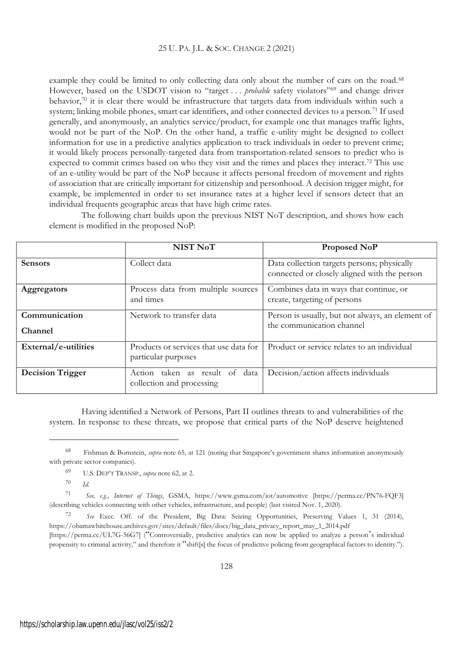example they could be limited to only collecting data only about the number of cars on the road.<sup>68</sup> However, based on the USDOT vision to "target . . . *probable* safety violators"<sup>69</sup> and change driver behavior,<sup>70</sup> it is clear there would be infrastructure that targets data from individuals within such a system; linking mobile phones, smart car identifiers, and other connected devices to a person.<sup>71</sup> If used generally, and anonymously, an analytics service/product, for example one that manages traffic lights, would not be part of the NoP. On the other hand, a traffic e-utility might be designed to collect information for use in a predictive analytics application to track individuals in order to prevent crime; it would likely process personally-targeted data from transportation-related sensors to predict who is expected to commit crimes based on who they visit and the times and places they interact.<sup>72</sup> This use of an e-utility would be part of the NoP because it affects personal freedom of movement and rights of association that are critically important for citizenship and personhood.Adecision trigger might, for example, be implemented in order to set insurance rates at a higher level if sensors detect that an individual frequents geographic areas that have high crime rates.

|                          | NIST NoT                                                          | <b>Proposed NoP</b>                                                                         |
|--------------------------|-------------------------------------------------------------------|---------------------------------------------------------------------------------------------|
| <b>Sensors</b>           | Collect data                                                      | Data collection targets persons; physically<br>connected or closely aligned with the person |
| Aggregators              | Process data from multiple sources<br>and times                   | Combines data in ways that continue, or<br>create, targeting of persons                     |
| Communication<br>Channel | Network to transfer data                                          | Person is usually, but not always, an element of<br>the communication channel               |
| External/e-utilities     | Products or services that use data for<br>particular purposes     | Product or service relates to an individual                                                 |
| <b>Decision Trigger</b>  | Action<br>result of data<br>taken as<br>collection and processing | Decision/action affects individuals                                                         |

The following chart builds upon the previous NIST NoT description, and shows how each element is modified in the proposed NoP:

Having identified a Network of Persons, Part II outlines threats to and vulnerabilities of the system. In response to these threats, we propose that critical parts of the NoP deserve heightened

<sup>70</sup> *Id.*

[https://perma.cc/UL7G-56G7] ("Controversially, predictive analytics can now be applied to analyze a person's individual propensity to criminal activity," and therefore it "shift[s] the focus of predictive policing from geographical factors to identity.").

<sup>68</sup> Fishman & Bornstein, *supra* note 65, at 121 (noting that Singapore's government shares information anonymously with private sector companies).

<sup>69</sup> U.S. DEP'<sup>T</sup> TRANSP., *supra* note 62, at 2.

<sup>71</sup> *See, e.g.*, *Internet of Things*, GSMA, https://www.gsma.com/iot/automotive [https://perma.cc/PN76-FQF3] (describing vehicles connecting with other vehicles, infrastructure, and people) (last visited Nov. 1, 2020).

<sup>72</sup> *See* Exec. Off. of the President, Big Data: Seizing Opportunities, Preserving Values 1, 31 (2014), https://obamawhitehouse.archives.gov/sites/default/files/docs/big\_data\_privacy\_report\_may\_1\_2014.pdf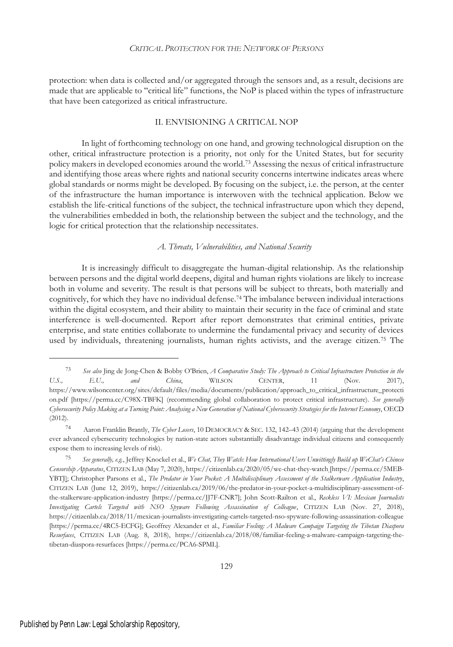protection: when data is collected and/or aggregated through the sensors and, as a result, decisions are made that are applicable to "critical life" functions, the NoP is placed within the types of infrastructure that have been categorized as critical infrastructure.

# II. ENVISIONING A CRITICAL NOP

In light of forthcoming technology on one hand, and growing technological disruption on the other, critical infrastructure protection is a priority, not only for the United States, but for security policy makers in developed economies around the world.<sup>73</sup> Assessing the nexus of critical infrastructure and identifying those areas where rights and national security concerns intertwine indicates areas where global standards or norms might be developed. By focusing on the subject, i.e. the person, at the center of the infrastructure the human importance is interwoven with the technical application. Below we establish the life-critical functions of the subject, the technical infrastructure upon which they depend, the vulnerabilities embedded in both, the relationship between the subject and the technology, and the logic for critical protection that the relationship necessitates.

## *A. Threats, Vulnerabilities, and National Security*

It is increasingly difficult to disaggregate the human-digital relationship. As the relationship between persons and the digital world deepens, digital and human rights violations are likely to increase both in volume and severity. The result is that persons will be subject to threats, both materially and cognitively, for which they have no individual defense.<sup>74</sup> The imbalance between individual interactions within the digital ecosystem, and their ability to maintain their security in the face of criminal and state interference is well-documented. Report after report demonstrates that criminal entities, private enterprise, and state entities collaborate to undermine the fundamental privacy and security of devices used by individuals, threatening journalists, human rights activists, and the average citizen.<sup>75</sup> The

<sup>73</sup> *See also* Jing de Jong-Chen & Bobby O'Brien, *A Comparative Study: The Approach to Critical Infrastructure Protection in the U.S., E.U., and China*, WILSON CENTER, 11 (Nov. 2017), https://www.wilsoncenter.org/sites/default/files/media/documents/publication/approach\_to\_critical\_infrastructure\_protecti on.pdf [https://perma.cc/C98X-TBFK] (recommending global collaboration to protect critical infrastructure). *See generally Cybersecurity Policy Making at a Turning Point: Analysing a New Generation of National Cybersecurity Strategies for the Internet Economy*, OECD (2012).

<sup>74</sup> Aaron Franklin Brantly, *The Cyber Losers*, 10 DEMOCRACY & SEC. 132, 142–43 (2014) (arguing that the development ever advanced cybersecurity technologies by nation-state actors substantially disadvantage individual citizens and consequently expose them to increasing levels of risk).

<sup>75</sup> *See generally, e.g.*, Jeffrey Knockel et al., *We Chat, They Watch: How International Users Unwittingly Build up WeChat's Chinese Censorship Apparatus*, CITIZEN LAB (May 7, 2020), https://citizenlab.ca/2020/05/we-chat-they-watch [https://perma.cc/5MEB-YBTJ]; Christopher Parsons et al., *The Predator in Your Pocket: A Multidisciplinary Assessment of the Stalkerware Application Industry*, CITIZEN LAB (June 12, 2019), https://citizenlab.ca/2019/06/the-predator-in-your-pocket-a-multidisciplinary-assessment-ofthe-stalkerware-application-industry [https://perma.cc/JJ7F-CNR7]; John Scott-Railton et al., *Reckless VI: Mexican Journalists Investigating Cartels Targeted with NSO Spyware Following Assassination of Colleague*, CITIZEN LAB (Nov. 27, 2018), https://citizenlab.ca/2018/11/mexican-journalists-investigating-cartels-targeted-nso-spyware-following-assassination-colleague [https://perma.cc/4RC5-ECFG]; Geoffrey Alexander et al., *Familiar Feeling: A Malware Campaign Targeting the Tibetan Diaspora Resurfaces*, CITIZEN LAB (Aug. 8, 2018), https://citizenlab.ca/2018/08/familiar-feeling-a-malware-campaign-targeting-thetibetan-diaspora-resurfaces [https://perma.cc/PCA6-SPML].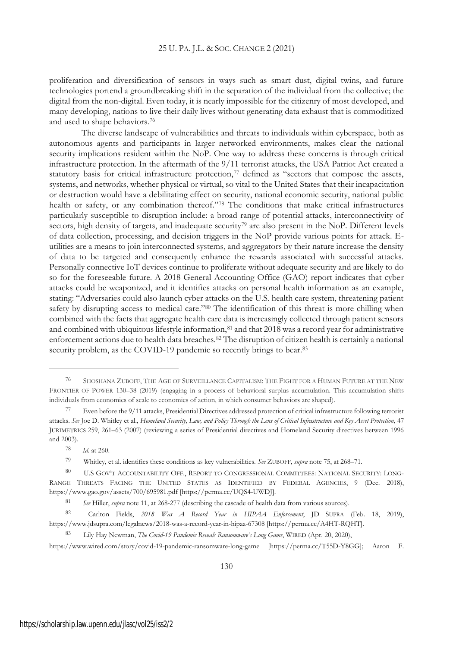proliferation and diversification of sensors in ways such as smart dust, digital twins, and future technologies portend a groundbreaking shift in the separation of the individual from the collective; the digital from the non-digital. Even today, it is nearly impossible for the citizenry of most developed, and many developing, nations to live their daily lives without generating data exhaust that is commoditized and used to shape behaviors.<sup>76</sup>

The diverse landscape of vulnerabilities and threats to individuals within cyberspace, both as autonomous agents and participants in larger networked environments, makes clear the national security implications resident within the NoP. One way to address these concerns is through critical infrastructure protection. In the aftermath of the 9/11 terrorist attacks, the USA Patriot Act created a statutory basis for critical infrastructure protection, $7<sup>7</sup>$  defined as "sectors that compose the assets, systems, and networks, whether physical or virtual, so vital to the United States that their incapacitation or destruction would have a debilitating effect on security, national economic security, national public health or safety, or any combination thereof."<sup>78</sup> The conditions that make critical infrastructures particularly susceptible to disruption include: a broad range of potential attacks, interconnectivity of sectors, high density of targets, and inadequate security<sup>79</sup> are also present in the NoP. Different levels of data collection, processing, and decision triggers in the NoP provide various points for attack. Eutilities are a means to join interconnected systems, and aggregators by their nature increase the density of data to be targeted and consequently enhance the rewards associated with successful attacks. Personally connective IoT devices continue to proliferate without adequate security and are likely to do so for the foreseeable future. A 2018 General Accounting Office (GAO) report indicates that cyber attacks could be weaponized, and it identifies attacks on personal health information as an example, stating: "Adversaries could also launch cyber attacks on the U.S. health care system, threatening patient safety by disrupting access to medical care."<sup>80</sup> The identification of this threat is more chilling when combined with the facts that aggregate health care data is increasingly collected through patient sensors and combined with ubiquitous lifestyle information,<sup>81</sup> and that 2018 was a record year for administrative enforcement actions due to health data breaches.<sup>82</sup> The disruption of citizen health is certainly a national security problem, as the COVID-19 pandemic so recently brings to bear.<sup>83</sup>

<sup>76</sup> SHOSHANA ZUBOFF, THE AGE OF SURVEILLANCE CAPITALISM: THE FIGHT FOR A HUMAN FUTURE AT THE NEW FRONTIER OF POWER 130–38 (2019) (engaging in a process of behavioral surplus accumulation. This accumulation shifts individuals from economies of scale to economies of action, in which consumer behaviors are shaped).

Even before the 9/11 attacks, Presidential Directives addressed protection of critical infrastructure following terrorist attacks. *See* Joe D. Whitley et al., *Homeland Security, Law, and Policy Through the Lens of Critical Infrastructure and Key Asset Protection*, 47 JURIMETRICS 259, 261–63 (2007) (reviewing a series of Presidential directives and Homeland Security directives between 1996 and 2003).

<sup>78</sup> *Id.* at 260.

<sup>79</sup> Whitley, et al. identifies these conditions as key vulnerabilities. *See* ZUBOFF, *supra* note 75, at 268–71.

<sup>80</sup> U.S GOV'<sup>T</sup> ACCOUNTABILITY OFF., REPORT TO CONGRESSIONAL COMMITTEES: NATIONAL SECURITY: LONG-RANGE THREATS FACING THE UNITED STATES AS IDENTIFIED BY FEDERAL AGENCIES, 9 (Dec. 2018), https://www.gao.gov/assets/700/695981.pdf [https://perma.cc/UQS4-UWDJ].

<sup>81</sup> *See* Hiller, *supra* note 11, at 268-277 (describing the cascade of health data from various sources).

<sup>82</sup> Carlton Fields, *2018 Was A Record Year in HIPAA Enforcement*, JD SUPRA (Feb. 18, 2019), https://www.jdsupra.com/legalnews/2018-was-a-record-year-in-hipaa-67308 [https://perma.cc/A4HT-RQHT].

<sup>83</sup> Lily Hay Newman, *The Covid-19 Pandemic Reveals Ransomware's Long Game*, WIRED (Apr. 20, 2020),

https://www.wired.com/story/covid-19-pandemic-ransomware-long-game [https://perma.cc/T55D-Y8GG]; Aaron F.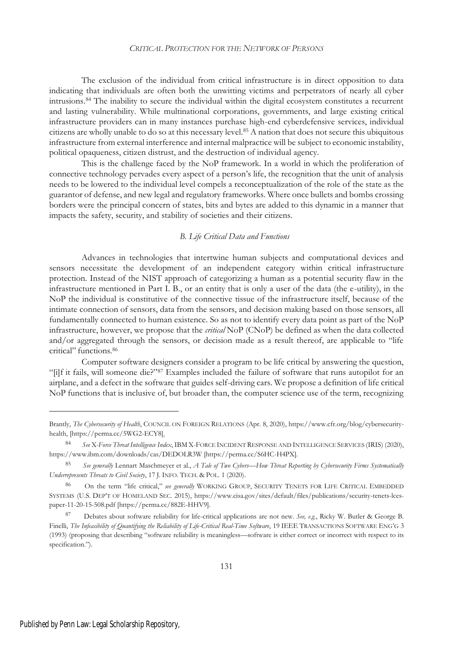The exclusion of the individual from critical infrastructure is in direct opposition to data indicating that individuals are often both the unwitting victims and perpetrators of nearly all cyber intrusions.<sup>84</sup> The inability to secure the individual within the digital ecosystem constitutes a recurrent and lasting vulnerability. While multinational corporations, governments, and large existing critical infrastructure providers can in many instances purchase high-end cyberdefensive services, individual citizens are wholly unable to do so at this necessary level.<sup>85</sup> A nation that does not secure this ubiquitous infrastructure from external interference and internal malpractice will be subject to economic instability, political opaqueness, citizen distrust, and the destruction of individual agency.

This is the challenge faced by the NoP framework. In a world in which the proliferation of connective technology pervades every aspect of a person's life, the recognition that the unit of analysis needs to be lowered to the individual level compels a reconceptualization of the role of the state as the guarantor of defense, and new legal and regulatory frameworks. Where once bullets and bombs crossing borders were the principal concern of states, bits and bytes are added to this dynamic in a manner that impacts the safety, security, and stability of societies and their citizens.

#### *B. Life Critical Data and Functions*

Advances in technologies that intertwine human subjects and computational devices and sensors necessitate the development of an independent category within critical infrastructure protection. Instead of the NIST approach of categorizing a human as a potential security flaw in the infrastructure mentioned in Part I. B., or an entity that is only a user of the data (the e-utility), in the NoP the individual is constitutive of the connective tissue of the infrastructure itself, because of the intimate connection of sensors, data from the sensors, and decision making based on those sensors, all fundamentally connected to human existence. So as not to identify every data point as part of the NoP infrastructure, however, we propose that the *critical* NoP (CNoP) be defined as when the data collected and/or aggregated through the sensors, or decision made as a result thereof, are applicable to "life critical" functions.<sup>86</sup>

Computer software designers consider a program to be life critical by answering the question, "[i]f it fails, will someone die?"<sup>87</sup> Examples included the failure of software that runs autopilot for an airplane, and a defect in the software that guides self-driving cars. We proposeadefinition of life critical NoP functions that is inclusive of, but broader than, the computer science use of the term, recognizing

Brantly, *The Cybersecurity of Health*, COUNCIL ON FOREIGN RELATIONS (Apr. 8, 2020), https://www.cfr.org/blog/cybersecurityhealth, [https://perma.cc/5WG2-ECY8].

<sup>84</sup> *See* X*-Force Threat Intelligence Index*, IBM X-FORCE INCIDENT RESPONSE AND INTELLIGENCE SERVICES (IRIS) (2020), https://www.ibm.com/downloads/cas/DEDOLR3W [https://perma.cc/S6HC-H4PX].

<sup>85</sup> *See generally* Lennart Maschmeyer et al., *A Tale of Two Cybers—How Threat Reporting by Cybersecurity Firms Systematically Underrepresents Threats to Civil Society*, 17 J. INFO. TECH.&POL. 1 (2020).

<sup>86</sup> On the term "life critical," *see generally* WORKING GROUP, SECURITY TENETS FOR LIFE CRITICAL EMBEDDED SYSTEMS (U.S. DEP'T OF HOMELAND SEC. 2015), https://www.cisa.gov/sites/default/files/publications/security-tenets-lcespaper-11-20-15-508.pdf [https://perma.cc/882E-HHV9].

<sup>87</sup> Debates about software reliability for life-critical applications are not new. *See, e.g.*, Ricky W. Butler & George B. Finelli, *The Infeasibility of Quantifying the Reliability of Life-Critical Real-Time Software*, 19 IEEE TRANSACTIONS SOFTWARE ENG'G 3 (1993) (proposing that describing "software reliability is meaningless—software is either correct or incorrect with respect to its specification.").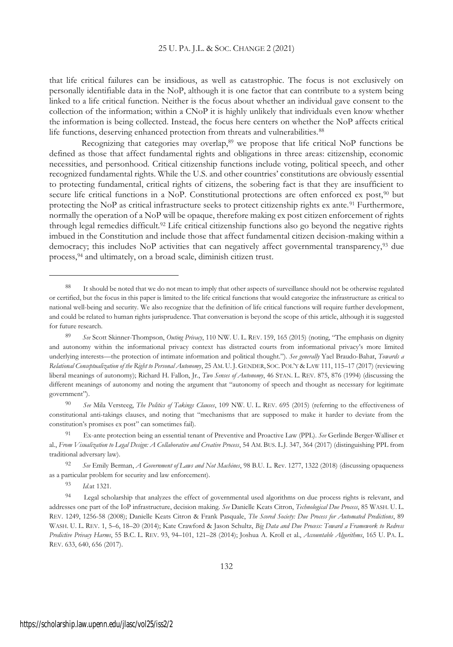that life critical failures can be insidious, as well as catastrophic. The focus is not exclusively on personally identifiable data in the NoP, although it is one factor that can contribute to a system being linked to a life critical function. Neither is the focus about whether an individual gave consent to the collection of the information; within a CNoP it is highly unlikely that individuals even know whether the information is being collected. Instead, the focus here centers on whether the NoP affects critical life functions, deserving enhanced protection from threats and vulnerabilities.<sup>88</sup>

Recognizing that categories may overlap,<sup>89</sup> we propose that life critical NoP functions be defined as those that affect fundamental rights and obligations in three areas: citizenship, economic necessities, and personhood. Critical citizenship functions include voting, political speech, and other recognized fundamental rights. While the U.S. and other countries' constitutions are obviously essential to protecting fundamental, critical rights of citizens, the sobering fact is that they are insufficient to secure life critical functions in a NoP. Constitutional protections are often enforced ex post, $90$  but protecting the NoP as critical infrastructure seeks to protect citizenship rights ex ante.<sup>91</sup> Furthermore, normally the operation of a NoP will be opaque, therefore making ex post citizen enforcement of rights through legal remedies difficult.<sup>92</sup> Life critical citizenship functions also go beyond the negative rights imbued in the Constitution and include those that affect fundamental citizen decision-making within a democracy; this includes NoP activities that can negatively affect governmental transparency,<sup>93</sup> due process,<sup>94</sup> and ultimately, on a broad scale, diminish citizen trust.

<sup>90</sup> *See* Mila Versteeg, *The Politics of Takings Clauses*, 109 NW. U. L. REV. 695 (2015) (referring to the effectiveness of constitutional anti-takings clauses, and noting that "mechanisms that are supposed to make it harder to deviate from the constitution's promises ex post" can sometimes fail).

<sup>91</sup> Ex-ante protection being an essential tenant of Preventive and Proactive Law (PPL). *See* Gerlinde Berger-Walliser et al., *From Visualization to Legal Design: A Collaborative and Creative Process*, 54 AM. BUS. L.J. 347, 364 (2017) (distinguishing PPL from traditional adversary law).

<sup>92</sup> *See* Emily Berman, *A Government of Laws and Not Machines*, 98 B.U. L. Rev. 1277, 1322 (2018) (discussing opaqueness as a particular problem for security and law enforcement).

<sup>93</sup> *Id.*at 1321.

<sup>88</sup> It should be noted that we do not mean to imply that other aspects of surveillance should not be otherwise regulated or certified, but the focus in this paper is limited to the life critical functions that would categorize the infrastructure as critical to national well-being and security. We also recognize that the definition of life critical functions will require further development, and could be related to human rights jurisprudence. That conversation is beyond the scope of this article, although it is suggested for future research.

<sup>89</sup> *See* Scott Skinner-Thompson, *Outing Privacy*, 110 NW. U. L. REV. 159, 165 (2015) (noting, "The emphasis on dignity and autonomy within the informational privacy context has distracted courts from informational privacy's more limited underlying interests—the protection of intimate information and political thought."). *See generally* Yael Braudo-Bahat, *Towards a Relational Conceptualization of the Right to Personal Autonomy*, 25 AM. U. J. GENDER, SOC. POL'Y & LAW 111, 115–17 (2017) (reviewing liberal meanings of autonomy); Richard H. Fallon, Jr., *Two Senses of Autonomy*, 46 STAN. L. REV. 875, 876 (1994) (discussing the different meanings of autonomy and noting the argument that "autonomy of speech and thought as necessary for legitimate government").

<sup>94</sup> Legal scholarship that analyzes the effect of governmental used algorithms on due process rights is relevant, and addresses one part of the IoP infrastructure, decision making. *See* Danielle Keats Citron, *Technological Due Process*, 85 WASH. U. L. REV. 1249, 1256-58 (2008); Danielle Keats Citron & Frank Pasquale, *The Scored Society: Due Process for Automated Predictions*, 89 WASH. U. L. REV. 1, 5–6, 18–20 (2014); Kate Crawford & Jason Schultz, *Big Data and Due Process: Toward a Framework to Redress Predictive Privacy Harms*, 55 B.C. L. REV. 93, 94–101, 121–28 (2014); Joshua A. Kroll et al., *Accountable Algorithms*, 165 U. PA. L. REV. 633, 640, 656 (2017).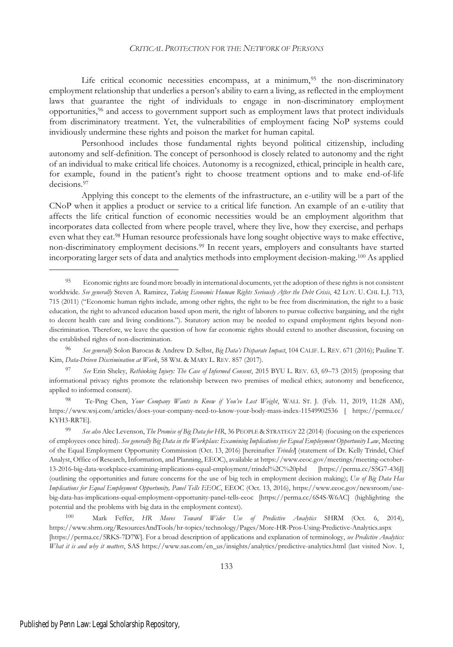Life critical economic necessities encompass, at a minimum,<sup>95</sup> the non-discriminatory employment relationship that underlies a person's ability to earn a living, as reflected in the employment laws that guarantee the right of individuals to engage in non-discriminatory employment opportunities,<sup>96</sup> and access to government support such as employment laws that protect individuals from discriminatory treatment. Yet, the vulnerabilities of employment facing NoP systems could invidiously undermine these rights and poison the market for human capital.

Personhood includes those fundamental rights beyond political citizenship, including autonomy and self-definition. The concept of personhood is closely related to autonomy and the right of an individual to make critical life choices. Autonomy is a recognized, ethical, principle in health care, for example, found in the patient's right to choose treatment options and to make end-of-life decisions.<sup>97</sup>

Applying this concept to the elements of the infrastructure, an e-utility will be a part of the CNoP when it applies a product or service to a critical life function. An example of an e-utility that affects the life critical function of economic necessities would be an employment algorithm that incorporates data collected from where people travel, where they live, how they exercise, and perhaps even what they eat.<sup>98</sup> Human resource professionals have long sought objective ways to make effective, non-discriminatory employment decisions.<sup>99</sup> In recent years, employers and consultants have started incorporating larger sets of data and analytics methods into employment decision-making.<sup>100</sup> As applied

<sup>97</sup> *See* Erin Sheley, *Rethinking Injury: The Case of Informed Consent*, 2015 BYU L. REV. 63, 69–73 (2015) (proposing that informational privacy rights promote the relationship between two premises of medical ethics; autonomy and beneficence, applied to informed consent).

<sup>98</sup> Te-Ping Chen, *Your Company Wants to Know if You've Lost Weight*, WALL ST. J. (Feb. 11, 2019, 11:28 AM), https://www.wsj.com/articles/does-your-company-need-to-know-your-body-mass-index-11549902536 [ https://perma.cc/ KYH3-RR7E].

<sup>99</sup> *See also* Alec Levenson, *The Promise of Big Data for HR*, 36 PEOPLE & STRATEGY 22 (2014) (focusing on the experiences of employees once hired). *See generally Big Data in the Workplace: Examining Implications for Equal Employment Opportunity Law*, Meeting of the Equal Employment Opportunity Commission (Oct. 13, 2016) [hereinafter *Trindel*] (statement of Dr. Kelly Trindel, Chief Analyst, Office of Research, Information, and Planning, EEOC), available at https://www.eeoc.gov/meetings/meeting-october-13-2016-big-data-workplace-examining-implications-equal-employment/trindel%2C%20phd [https://perma.cc/S5G7-436J] (outlining the opportunities and future concerns for the use of big tech in employment decision making); *Use of Big Data Has Implications for Equal Employment Opportunity, Panel Tells EEOC*, EEOC (Oct. 13, 2016), https://www.eeoc.gov/newsroom/usebig-data-has-implications-equal-employment-opportunity-panel-tells-eeoc [https://perma.cc/6S4S-W6AC] (highlighting the potential and the problems with big data in the employment context).

<sup>100</sup> Mark Feffer, *HR Moves Toward Wider Use of Predictive Analytics* SHRM (Oct. 6, 2014), https://www.shrm.org/ResourcesAndTools/hr-topics/technology/Pages/More-HR-Pros-Using-Predictive-Analytics.aspx [https://perma.cc/5RKS-7D7W]. For a broad description of applications and explanation of terminology, *see Predictive Analytics: What it is and why it matters*, SAS https://www.sas.com/en\_us/insights/analytics/predictive-analytics.html (last visited Nov. 1,

<sup>95</sup> Economic rights are found more broadly in international documents, yet the adoption of these rights is not consistent worldwide. *See generally* Steven A. Ramirez, *Taking Economic Human Rights Seriously After the Debt Crisis*, 42 LOY. U. CHI. L.J. 713, 715 (2011) ("Economic human rights include, among other rights, the right to be free from discrimination, the right to a basic education, the right to advanced education based upon merit, the right of laborers to pursue collective bargaining, and the right to decent health care and living conditions."). Statutory action may be needed to expand employment rights beyond nondiscrimination. Therefore, we leave the question of how far economic rights should extend to another discussion, focusing on the established rights of non-discrimination.

<sup>96</sup> *See generally* Solon Barocas & Andrew D. Selbst, *Big Data's Disparate Impact*, 104 CALIF. L. REV. 671 (2016); Pauline T. Kim, *Data-Driven Discrimination at Work*, 58 WM. & MARY L. REV. 857 (2017).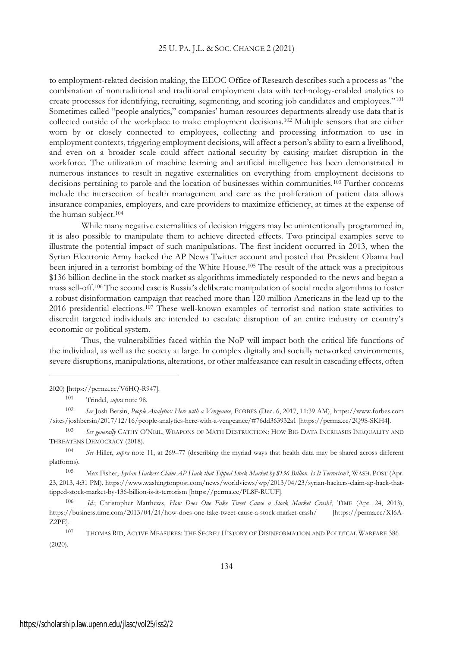to employment-related decision making, the EEOC Office of Research describes such a process as "the combination of nontraditional and traditional employment data with technology-enabled analytics to create processes for identifying, recruiting, segmenting, and scoring job candidates and employees."<sup>101</sup> Sometimes called "people analytics," companies' human resources departments already use data that is collected outside of the workplace to make employment decisions.<sup>102</sup> Multiple sensors that are either worn by or closely connected to employees, collecting and processing information to use in employment contexts, triggering employment decisions, will affect a person's ability to earn a livelihood, and even on a broader scale could affect national security by causing market disruption in the workforce. The utilization of machine learning and artificial intelligence has been demonstrated in numerous instances to result in negative externalities on everything from employment decisions to decisions pertaining to parole and the location of businesses within communities.<sup>103</sup> Further concerns include the intersection of health management and care as the proliferation of patient data allows insurance companies, employers, and care providers to maximize efficiency, at times at the expense of the human subject.<sup>104</sup>

While many negative externalities of decision triggers may be unintentionally programmed in, it is also possible to manipulate them to achieve directed effects. Two principal examples serve to illustrate the potential impact of such manipulations. The first incident occurred in 2013, when the Syrian Electronic Army hacked the AP News Twitter account and posted that President Obama had been injured in a terrorist bombing of the White House.<sup>105</sup> The result of the attack was a precipitous \$136 billion decline in the stock market as algorithms immediately responded to the news and began a mass sell-off.<sup>106</sup> The second case is Russia's deliberate manipulation of social media algorithms to foster a robust disinformation campaign that reached more than 120 million Americans in the lead up to the 2016 presidential elections.<sup>107</sup> These well-known examples of terrorist and nation state activities to discredit targeted individuals are intended to escalate disruption of an entire industry or country's economic or political system.

Thus, the vulnerabilities faced within the NoP will impact both the critical life functions of the individual, as well as the society at large. In complex digitally and socially networked environments, severe disruptions, manipulations, alterations, or other malfeasance can result in cascading effects, often

2020) [https://perma.cc/V6HQ-R947].

<sup>102</sup> *See* Josh Bersin, *People Analytics: Here with a Vengeance*, FORBES (Dec. 6, 2017, 11:39 AM), https://www.forbes.com /sites/joshbersin/2017/12/16/people-analytics-here-with-a-vengeance/#76dd363932a1 [https://perma.cc/2Q9S-SKH4].

<sup>103</sup> *See generally* CATHY O'NEIL, WEAPONS OF MATH DESTRUCTION: HOW BIG DATA INCREASES INEQUALITY AND THREATENS DEMOCRACY (2018).

<sup>104</sup> *See* Hiller, *supra* note 11, at 269–77 (describing the myriad ways that health data may be shared across different platforms).

<sup>105</sup> Max Fisher, *Syrian Hackers Claim AP Hack that Tipped Stock Market by \$136 Billion. Is It Terrorism?*, WASH. POST (Apr. 23, 2013, 4:31 PM), https://www.washingtonpost.com/news/worldviews/wp/2013/04/23/syrian-hackers-claim-ap-hack-thattipped-stock-market-by-136-billion-is-it-terrorism [https://perma.cc/PL8F-RUUF].

<sup>106</sup> *Id.*; Christopher Matthews, *How Does One Fake Tweet Cause a Stock Market Crash?*, TIME (Apr. 24, 2013), https://business.time.com/2013/04/24/how-does-one-fake-tweet-cause-a-stock-market-crash/ [https://perma.cc/XJ6A-Z2PE].

<sup>107</sup> THOMAS RID, ACTIVE MEASURES: THE SECRET HISTORY OF DISINFORMATION AND POLITICAL WARFARE 386 (2020).

<sup>101</sup> Trindel, *supra* note 98.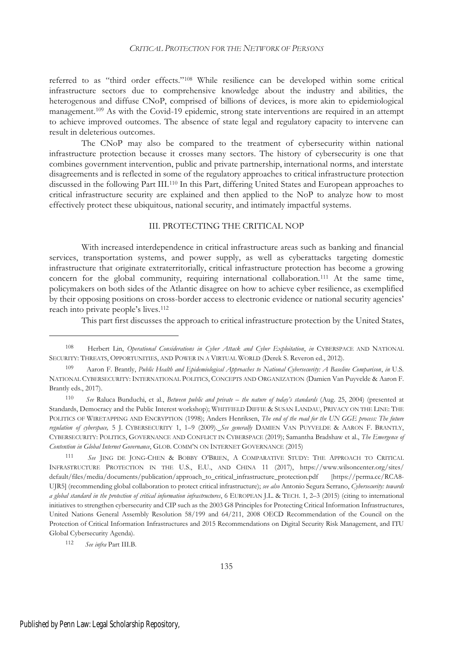referred to as "third order effects."<sup>108</sup> While resilience can be developed within some critical infrastructure sectors due to comprehensive knowledge about the industry and abilities, the heterogenous and diffuse CNoP, comprised of billions of devices, is more akin to epidemiological management.<sup>109</sup> As with the Covid-19 epidemic, strong state interventions are required in an attempt to achieve improved outcomes. The absence of state legal and regulatory capacity to intervene can result in deleterious outcomes.

The CNoP may also be compared to the treatment of cybersecurity within national infrastructure protection because it crosses many sectors. The history of cybersecurity is one that combines government intervention, public and private partnership, international norms, and interstate disagreements and is reflected in some of the regulatory approaches to critical infrastructure protection discussed in the following Part III.<sup>110</sup> In this Part, differing United States and European approaches to critical infrastructure security are explained and then applied to the NoP to analyze how to most effectively protect these ubiquitous, national security, and intimately impactful systems.

## III. PROTECTING THE CRITICAL NOP

With increased interdependence in critical infrastructure areas such as banking and financial services, transportation systems, and power supply, as well as cyberattacks targeting domestic infrastructure that originate extraterritorially, critical infrastructure protection has become a growing concern for the global community, requiring international collaboration.<sup>111</sup> At the same time, policymakers on both sides of the Atlantic disagree on how to achieve cyber resilience, as exemplified by their opposing positions on cross-border access to electronic evidence or national security agencies' reach into private people's lives.<sup>112</sup>

This part first discusses the approach to critical infrastructure protection by the United States,

<sup>108</sup> Herbert Lin, *Operational Considerations in Cyber Attack and Cyber Exploitation*, *in* CYBERSPACE AND NATIONAL SECURITY: THREATS, OPPORTUNITIES, AND POWER IN A VIRTUAL WORLD (Derek S. Reveron ed., 2012).

<sup>109</sup> Aaron F. Brantly, *Public Health and Epidemiological Approaches to National Cybersecurity: A Baseline Comparison*, *in* U.S. NATIONAL CYBERSECURITY: INTERNATIONAL POLITICS, CONCEPTS AND ORGANIZATION (Damien Van Puyvelde & Aaron F. Brantly eds., 2017).

<sup>110</sup> *See* Raluca Bunduchi, et al., *Between public and private – the nature of today's standards* (Aug. 25, 2004) (presented at Standards, Democracy and the Public Interest workshop); WHITFIELD DIFFIE & SUSAN LANDAU, PRIVACY ON THE LINE: THE POLITICS OF WIRETAPPING AND ENCRYPTION (1998); Anders Henriksen, *The end of the road for the UN GGE process: The future regulation of cyberspace,* 5 J. CYBERSECURITY 1, 1–9 (2009). *See generally* DAMIEN VAN PUYVELDE & AARON F. BRANTLY, CYBERSECURITY: POLITICS, GOVERNANCE AND CONFLICT IN CYBERSPACE (2019); Samantha Bradshaw et al., *The Emergence of Contention in Global Internet Governance*, GLOB. COMM'N ON INTERNET GOVERNANCE (2015)

<sup>111</sup> See JING DE JONG-CHEN & BOBBY O'BRIEN, A COMPARATIVE STUDY: THE APPROACH TO CRITICAL INFRASTRUCTURE PROTECTION IN THE U.S., E.U., AND CHINA 11 (2017), https://www.wilsoncenter.org/sites/ default/files/media/documents/publication/approach\_to\_critical\_infrastructure\_protection.pdf [https://perma.cc/RCA8- UJR5] (recommending global collaboration to protect critical infrastructure); *see also* Antonio Segura Serrano, *Cybersecurity: towards a global standard in the protection of critical information infrastructures*,6EUROPEAN J.L. & TECH. 1, 2–3 (2015) (citing to international initiatives to strengthen cybersecurity and CIP such as the 2003 G8 Principles for Protecting Critical Information Infrastructures, United Nations General Assembly Resolution 58/199 and 64/211, 2008 OECD Recommendation of the Council on the Protection of Critical Information Infrastructures and 2015 Recommendations on Digital Security Risk Management, and ITU Global Cybersecurity Agenda).

<sup>112</sup> *See infra* Part III.B.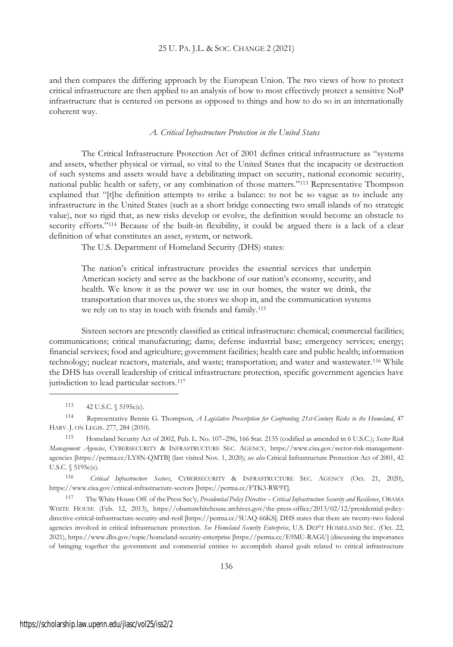## 25 U. PA. J.L.&SOC. CHANGE 2 (2021)

and then compares the differing approach by the European Union. The two views of how to protect critical infrastructure are then applied to an analysis of how to most effectively protect a sensitive NoP infrastructure that is centered on persons as opposed to things and how to do so in an internationally coherent way.

#### *A. Critical Infrastructure Protection in the United States*

The Critical Infrastructure Protection Act of 2001 defines critical infrastructure as "systems and assets, whether physical or virtual, so vital to the United States that the incapacity or destruction of such systems and assets would have a debilitating impact on security, national economic security, national public health or safety, or any combination of those matters."<sup>113</sup> Representative Thompson explained that "[t]he definition attempts to strike a balance: to not be so vague as to include any infrastructure in the United States (such as a short bridge connecting two small islands of no strategic value), nor so rigid that, as new risks develop or evolve, the definition would become an obstacle to security efforts."<sup>114</sup> Because of the built-in flexibility, it could be argued there is a lack of a clear definition of what constitutes an asset, system, or network.

The U.S. Department of Homeland Security (DHS) states:

The nation's critical infrastructure provides the essential services that underpin American society and serve as the backbone of our nation's economy, security, and health. We know it as the power we use in our homes, the water we drink, the transportation that moves us, the stores we shop in, and the communication systems we rely on to stay in touch with friends and family.<sup>115</sup>

Sixteen sectors are presently classified as critical infrastructure: chemical; commercial facilities; communications; critical manufacturing; dams; defense industrial base; emergency services; energy; financial services; food and agriculture; government facilities; health care and public health; information technology; nuclear reactors, materials, and waste; transportation; and water and wastewater.<sup>116</sup> While the DHS has overall leadership of critical infrastructure protection, specific government agencies have jurisdiction to lead particular sectors.<sup>117</sup>

113 42 U.S.C. § 5195c(e).

<sup>114</sup> Representative Bennie G. Thompson, *A Legislative Prescription for Confronting 21st-Century Risks to the Homeland*, 47 HARV. J. ON LEGIS. 277, 284 (2010).

<sup>115</sup> Homeland Security Act of 2002, Pub. L. No. 107–296, 166 Stat. 2135 (codified as amended in 6 U.S.C.); *Sector Risk Management Agencies*, CYBERSECURITY & INFRASTRUCTURE SEC. AGENCY, https://www.cisa.gov/sector-risk-managementagencies [https://perma.cc/LY8N-QMTB] (last visited Nov. 1, 2020); *see also* Critical Infrastructure Protection Act of 2001, 42 U.S.C. § 5195c(e).

<sup>116</sup> *Critical Infrastructure Sectors*, CYBERSECURITY & INFRASTRUCTURE SEC. AGENCY (Oct. 21, 2020), https://www.cisa.gov/critical-infrastructure-sectors [https://perma.cc/FTK3-RW9T].

<sup>117</sup> The White House Off. of the Press Sec'y, *Presidential Policy Directive -- Critical Infrastructure Security and Resilience*, OBAMA WHITE HOUSE (Feb. 12, 2013), https://obamawhitehouse.archives.gov/the-press-office/2013/02/12/presidential-policydirective-critical-infrastructure-security-and-resil [https://perma.cc/5UAQ-66KS]. DHS states that there are twenty-two federal agencies involved in critical infrastructure protection. *See Homeland Security Enterprise*, U.S. DEP'T HOMELAND SEC. (Oct. 22, 2021), https://www.dhs.gov/topic/homeland-security-enterprise [https://perma.cc/E9MU-RAGU] (discussing the importance of bringing together the government and commercial entities to accomplish shared goals related to critical infrastructure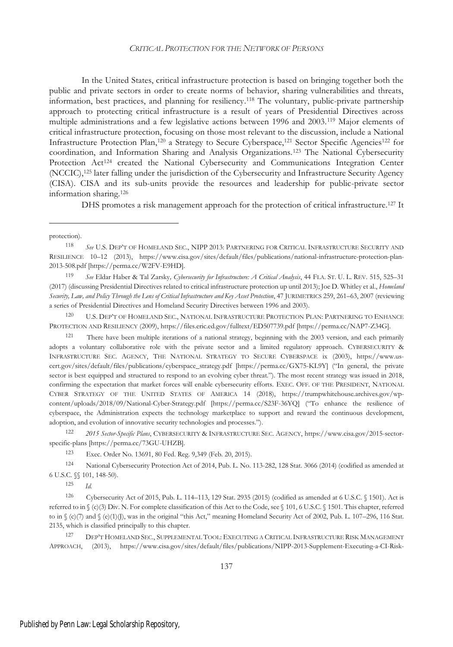In the United States, critical infrastructure protection is based on bringing together both the public and private sectors in order to create norms of behavior, sharing vulnerabilities and threats, information, best practices, and planning for resiliency.<sup>118</sup> The voluntary, public-private partnership approach to protecting critical infrastructure is a result of years of Presidential Directives across multiple administrations and a few legislative actions between 1996 and 2003.<sup>119</sup> Major elements of critical infrastructure protection, focusing on those most relevant to the discussion, include a National Infrastructure Protection Plan,<sup>120</sup> a Strategy to Secure Cyberspace,<sup>121</sup> Sector Specific Agencies<sup>122</sup> for coordination, and Information Sharing and Analysis Organizations.<sup>123</sup> The National Cybersecurity Protection Act<sup>124</sup> created the National Cybersecurity and Communications Integration Center (NCCIC),<sup>125</sup> later falling under the jurisdiction of the Cybersecurity and Infrastructure Security Agency (CISA). CISA and its sub-units provide the resources and leadership for public-private sector information sharing.<sup>126</sup>

DHS promotes a risk management approach for the protection of critical infrastructure.<sup>127</sup> It

protection).

<sup>119</sup> *See* Eldar Haber & Tal Zarsky*, Cybersecurity for Infrastructure: A Critical Analysis*, 44 FLA. ST. U. L. REV. 515, 525–31 (2017) (discussing Presidential Directives related to critical infrastructure protection up until 2013); Joe D. Whitley et al., *Homeland Security, Law, and Policy Through the Lens of Critical Infrastructure and Key Asset Protection*, 47 JURIMETRICS 259, 261–63, 2007 (reviewing a series of Presidential Directives and Homeland Security Directives between 1996 and 2003).

<sup>120</sup> U.S. DEP'T OF HOMELAND SEC., NATIONAL INFRASTRUCTURE PROTECTION PLAN: PARTNERING TO ENHANCE PROTECTION AND RESILIENCY (2009), https://files.eric.ed.gov/fulltext/ED507739.pdf [https://perma.cc/NAP7-Z34G].

There have been multiple iterations of a national strategy, beginning with the 2003 version, and each primarily adopts a voluntary collaborative role with the private sector and a limited regulatory approach. CYBERSECURITY & INFRASTRUCTURE SEC. AGENCY, THE NATIONAL STRATEGY TO SECURE CYBERSPACE ix (2003), https://www.uscert.gov/sites/default/files/publications/cyberspace\_strategy.pdf [https://perma.cc/GX75-KL9Y] ("In general, the private sector is best equipped and structured to respond to an evolving cyber threat."). The most recent strategy was issued in 2018, confirming the expectation that market forces will enable cybersecurity efforts. EXEC. OFF. OF THE PRESIDENT, NATIONAL CYBER STRATEGY OF THE UNITED STATES OF AMERICA 14 (2018), https://trumpwhitehouse.archives.gov/wpcontent/uploads/2018/09/National-Cyber-Strategy.pdf [https://perma.cc/S23F-36YQ] ("To enhance the resilience of cyberspace, the Administration expects the technology marketplace to support and reward the continuous development, adoption, and evolution of innovative security technologies and processes.").

<sup>122</sup> *2015 Sector-Specific Plans*, CYBERSECURITY & INFRASTRUCTURE SEC. AGENCY, https://www.cisa.gov/2015-sectorspecific-plans [https://perma.cc/73GU-UHZB].

<sup>123</sup> Exec. Order No. 13691, 80 Fed. Reg. 9,349 (Feb. 20, 2015).

<sup>124</sup> National Cybersecurity Protection Act of 2014, Pub. L. No. 113-282, 128 Stat. 3066 (2014) (codified as amended at 6 U.S.C. §§ 101, 148-50).

<sup>125</sup> *Id.*

<sup>126</sup> Cybersecurity Act of 2015, Pub. L. 114–113, 129 Stat. 2935 (2015) (codified as amended at 6 U.S.C. § 1501). Act is referred to in § (c)(3) Div. N. For complete classification of this Act to the Code, see § 101, 6 U.S.C. § 1501. This chapter, referred to in § (c)(7) and § (e)(1)(J), was in the original "this Act," meaning Homeland Security Act of 2002, Pub. L. 107-296, 116 Stat. 2135, which is classified principally to this chapter.

<sup>127</sup> DEP'<sup>T</sup> HOMELAND SEC., SUPPLEMENTAL TOOL: EXECUTING A CRITICAL INFRASTRUCTURE RISK MANAGEMENT APPROACH, (2013), https://www.cisa.gov/sites/default/files/publications/NIPP-2013-Supplement-Executing-a-CI-Risk-

<sup>118</sup> *See* U.S. DEP'T OF HOMELAND SEC., NIPP 2013: PARTNERING FOR CRITICAL INFRASTRUCTURE SECURITY AND RESILIENCE 10–12 (2013), https://www.cisa.gov/sites/default/files/publications/national-infrastructure-protection-plan-2013-508.pdf [https://perma.cc/W2FV-E9HD].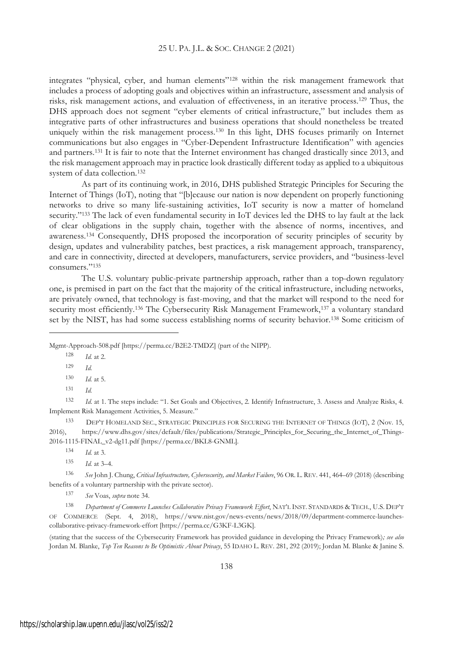#### 25 U. PA. J.L.&SOC. CHANGE 2 (2021)

integrates "physical, cyber, and human elements"<sup>128</sup> within the risk management framework that includes a process of adopting goals and objectives within an infrastructure, assessment and analysis of risks, risk management actions, and evaluation of effectiveness, in an iterative process.<sup>129</sup> Thus, the DHS approach does not segment "cyber elements of critical infrastructure," but includes them as integrative parts of other infrastructures and business operations that should nonetheless be treated uniquely within the risk management process.<sup>130</sup> In this light, DHS focuses primarily on Internet communications but also engages in "Cyber-Dependent Infrastructure Identification" with agencies and partners.<sup>131</sup> It is fair to note that the Internet environment has changed drastically since 2013, and the risk management approach may in practice look drastically different today as applied to a ubiquitous system of data collection.<sup>132</sup>

As part of its continuing work, in 2016, DHS published Strategic Principles for Securing the Internet of Things (IoT), noting that "[b]ecause our nation is now dependent on properly functioning networks to drive so many life-sustaining activities, IoT security is now a matter of homeland security."<sup>133</sup> The lack of even fundamental security in IoT devices led the DHS to lay fault at the lack of clear obligations in the supply chain, together with the absence of norms, incentives, and awareness.<sup>134</sup> Consequently, DHS proposed the incorporation of security principles of security by design, updates and vulnerability patches, best practices, a risk management approach, transparency, and care in connectivity, directed at developers, manufacturers, service providers, and "business-level consumers."<sup>135</sup>

The U.S. voluntary public-private partnership approach, rather than a top-down regulatory one, is premised in part on the fact that the majority of the critical infrastructure, including networks, are privately owned, that technology is fast-moving, and that the market will respond to the need for security most efficiently.<sup>136</sup> The Cybersecurity Risk Management Framework,<sup>137</sup> a voluntary standard set by the NIST, has had some success establishing norms of security behavior.<sup>138</sup> Some criticism of

Mgmt-Approach-508.pdf [https://perma.cc/B2E2-TMDZ] (part of the NIPP).

<sup>132</sup> *Id.* at 1. The steps include: "1. Set Goals and Objectives, 2. Identify Infrastructure, 3. Assess and Analyze Risks, 4. Implement Risk Management Activities, 5. Measure."

133 DEP'T HOMELAND SEC., STRATEGIC PRINCIPLES FOR SECURING THE INTERNET OF THINGS (IOT), 2 (Nov. 15, 2016), https://www.dhs.gov/sites/default/files/publications/Strategic\_Principles\_for\_Securing\_the\_Internet\_of\_Things-2016-1115-FINAL\_v2-dg11.pdf [https://perma.cc/BKL8-GNML].

<sup>136</sup> *See* John J. Chung, *Critical Infrastructure, Cybersecurity, and Market Failure*, 96 OR. L. REV. 441, 464–69 (2018) (describing benefits of a voluntary partnership with the private sector).

<sup>137</sup> *See* Voas, *supra* note 34.

<sup>138</sup> *Department of Commerce Launches Collaborative Privacy Framework Effort*, NAT'<sup>L</sup> INST. STANDARDS & TECH., U.S. DEP'<sup>T</sup> OF COMMERCE (Sept. 4, 2018), https://www.nist.gov/news-events/news/2018/09/department-commerce-launchescollaborative-privacy-framework-effort [https://perma.cc/G3KF-L3GK].

(stating that the success of the Cybersecurity Framework has provided guidance in developing the Privacy Framework)*; see also* Jordan M. Blanke, *Top Ten Reasons to Be Optimistic About Privacy*, 55 IDAHO L. REV. 281, 292 (2019); Jordan M. Blanke & Janine S.

<sup>128</sup> *Id.* at 2.

<sup>129</sup> *Id.*

<sup>130</sup> *Id.* at 5.

<sup>131</sup> *Id.*

<sup>134</sup> *Id.* at 3.

<sup>135</sup> *Id.* at 3–4.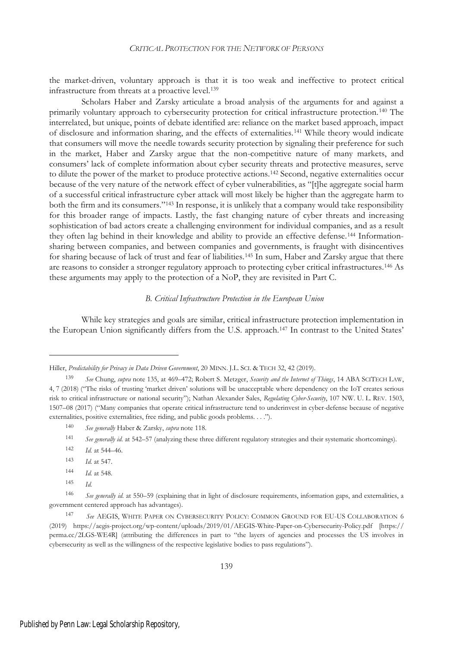the market-driven, voluntary approach is that it is too weak and ineffective to protect critical infrastructure from threats at a proactive level.<sup>139</sup>

Scholars Haber and Zarsky articulate a broad analysis of the arguments for and against a primarily voluntary approach to cybersecurity protection for critical infrastructure protection.<sup>140</sup> The interrelated, but unique, points of debate identified are: reliance on the market based approach, impact of disclosure and information sharing, and the effects of externalities.<sup>141</sup> While theory would indicate that consumers will move the needle towards security protection by signaling their preference for such in the market, Haber and Zarsky argue that the non-competitive nature of many markets, and consumers' lack of complete information about cyber security threats and protective measures, serve to dilute the power of the market to produce protective actions.<sup>142</sup> Second, negative externalities occur because of the very nature of the network effect of cyber vulnerabilities, as "[t]he aggregate social harm of a successful critical infrastructure cyber attack will most likely be higher than the aggregate harm to both the firm and its consumers."<sup>143</sup> In response, it is unlikely that a company would take responsibility for this broader range of impacts. Lastly, the fast changing nature of cyber threats and increasing sophistication of bad actors create a challenging environment for individual companies, and as a result they often lag behind in their knowledge and ability to provide an effective defense.<sup>144</sup> Informationsharing between companies, and between companies and governments, is fraught with disincentives for sharing because of lack of trust and fear of liabilities.<sup>145</sup> In sum, Haber and Zarsky argue that there are reasons to consider a stronger regulatory approach to protecting cyber critical infrastructures.<sup>146</sup> As these arguments may apply to the protection of a NoP, they are revisited in Part C.

## *B. Critical Infrastructure Protection in the European Union*

While key strategies and goals are similar, critical infrastructure protection implementation in the European Union significantly differs from the U.S. approach.<sup>147</sup> In contrast to the United States'

- <sup>142</sup> *Id.* at 544–46.
- <sup>143</sup> *Id.* at 547.
- <sup>144</sup> *Id.* at 548.
- <sup>145</sup> *Id.*

Hiller, *Predictability for Privacy in Data Driven Government*, 20 MINN. J.L. SCI.&TECH 32, 42 (2019).

<sup>139</sup> *See* Chung, *supra* note 135, at 469–472; Robert S. Metzger, *Security and the Internet of Things*, 14 ABA SCITECH LAW, 4, 7 (2018) ("The risks of trusting 'market driven' solutions will be unacceptable where dependency on the IoT creates serious risk to critical infrastructure or national security"); Nathan Alexander Sales, *Regulating Cyber-Security*, 107 NW. U. L. REV. 1503, 1507–08 (2017) ("Many companies that operate critical infrastructure tend to underinvest in cyber-defense because of negative externalities, positive externalities, free riding, and public goods problems. . . .").

<sup>140</sup> *See generally* Haber & Zarsky, *supra* note 118.

<sup>141</sup> *See generally id.* at 542–57 (analyzing these three different regulatory strategies and their systematic shortcomings).

<sup>146</sup> *See generally id.* at 550–59 (explaining that in light of disclosure requirements, information gaps, and externalities, a government centered approach has advantages).

<sup>147</sup> *See* AEGIS, WHITE PAPER ON CYBERSECURITY POLICY: COMMON GROUND FOR EU-US COLLABORATION 6 (2019) https://aegis-project.org/wp-content/uploads/2019/01/AEGIS-White-Paper-on-Cybersecurity-Policy.pdf [https:// perma.cc/2LGS-WE4R] (attributing the differences in part to "the layers of agencies and processes the US involves in cybersecurity as well as the willingness of the respective legislative bodies to pass regulations").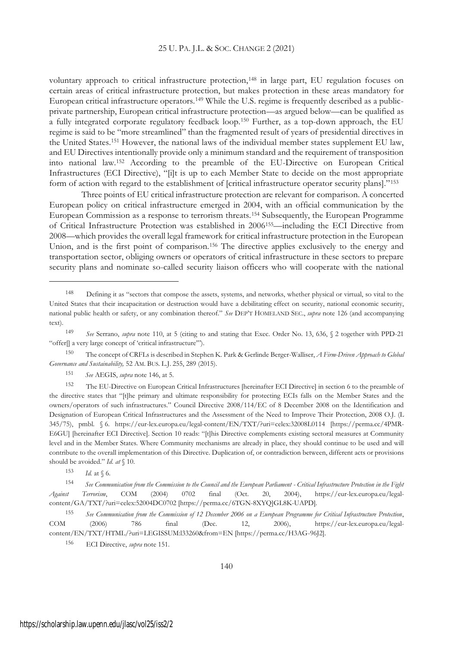#### 25 U. PA. J.L.&SOC. CHANGE 2 (2021)

voluntary approach to critical infrastructure protection,<sup>148</sup> in large part, EU regulation focuses on certain areas of critical infrastructure protection, but makes protection in these areas mandatory for European critical infrastructure operators.<sup>149</sup> While the U.S. regime is frequently described as a publicprivate partnership, European critical infrastructure protection—as argued below—can be qualified as a fully integrated corporate regulatory feedback loop.<sup>150</sup> Further, as a top-down approach, the EU regime is said to be "more streamlined" than the fragmented result of years of presidential directives in the United States.<sup>151</sup> However, the national laws of the individual member states supplement EU law, and EU Directives intentionally provide only a minimum standard and the requirement of transposition into national law.<sup>152</sup> According to the preamble of the EU-Directive on European Critical Infrastructures (ECI Directive), "[i]t is up to each Member State to decide on the most appropriate form of action with regard to the establishment of [critical infrastructure operator security plans]."<sup>153</sup>

Three points of EU critical infrastructure protection are relevant for comparison. A concerted European policy on critical infrastructure emerged in 2004, with an official communication by the European Commission as a response to terrorism threats.<sup>154</sup> Subsequently, the European Programme of Critical Infrastructure Protection was established in 2006<sup>155</sup>—including the ECI Directive from 2008—which provides the overall legal framework for critical infrastructure protection in the European Union, and is the first point of comparison.<sup>156</sup> The directive applies exclusively to the energy and transportation sector, obliging owners or operators of critical infrastructure in these sectors to prepare security plans and nominate so-called security liaison officers who will cooperate with the national

<sup>150</sup> The concept of CRFLs is described in Stephen K. Park & Gerlinde Berger-Walliser, *A Firm-Driven Approach to Global Governance and Sustainability,* 52 AM. BUS. L.J. 255, 289 (2015).

<sup>151</sup> *See* AEGIS, *supra* note 146, at 5.

<sup>152</sup> The EU-Directive on European Critical Infrastructures [hereinafter ECI Directive] in section 6 to the preamble of the directive states that "[t]he primary and ultimate responsibility for protecting ECIs falls on the Member States and the owners/operators of such infrastructures." Council Directive 2008/114/EC of 8 December 2008 on the Identification and Designation of European Critical Infrastructures and the Assessment of the Need to Improve Their Protection, 2008 O.J. (L 345/75), pmbl. § 6. https://eur-lex.europa.eu/legal-content/EN/TXT/?uri=celex:32008L0114 [https://perma.cc/4PMR-E6GU] [hereinafter ECI Directive]. Section 10 reads: "[t]his Directive complements existing sectoral measures at Community level and in the Member States. Where Community mechanisms are already in place, they should continue to be used and will contribute to the overall implementation of this Directive. Duplication of, or contradiction between, different acts or provisions should be avoided." *Id. at* § 10.

 $153$  *Id.* at  $\sqrt[6]{6}$ .

<sup>154</sup> *See Communication from the Commission to the Council and the European Parliament - Critical Infrastructure Protection in the Fight Against Terrorism*, COM (2004) 0702 final (Oct. 20, 2004), https://eur-lex.europa.eu/legalcontent/GA/TXT/?uri=celex:52004DC0702 [https://perma.cc/6TGN-8XYQ]GL8K-UAPD].

<sup>155</sup> *See Communication from the Commission of 12 December 2006 on a European Programme for Critical Infrastructure Protection*, COM (2006) 786 final (Dec. 12, 2006), https://eur-lex.europa.eu/legalcontent/EN/TXT/HTML/?uri=LEGISSUM:l33260&from=EN [https://perma.cc/H3AG-96J2].

<sup>156</sup> ECI Directive, *supra* note 151.

<sup>148</sup> Defining it as "sectors that compose the assets, systems, and networks, whether physical or virtual, so vital to the United States that their incapacitation or destruction would have a debilitating effect on security, national economic security, national public health or safety, or any combination thereof." *See* DEP'T HOMELAND SEC., *supra* note 126 (and accompanying text).

<sup>149</sup> *See* Serrano, *supra* note 110, at 5 (citing to and stating that Exec. Order No. 13, 636, § 2 together with PPD-21 "offer[] a very large concept of 'critical infrastructure'").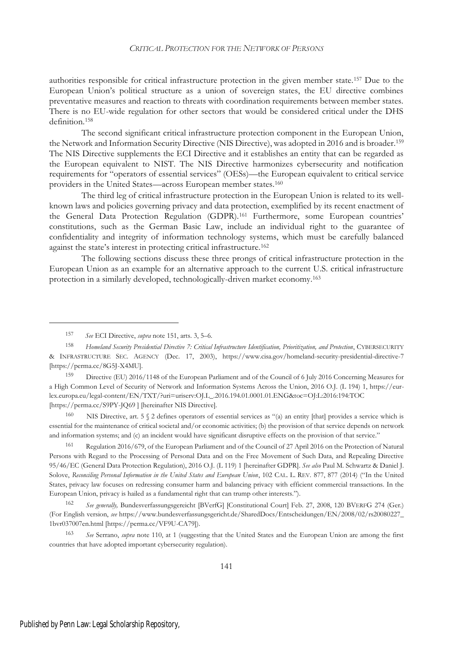authorities responsible for critical infrastructure protection in the given member state.<sup>157</sup> Due to the European Union's political structure as a union of sovereign states, the EU directive combines preventative measures and reaction to threats with coordination requirements between member states. There is no EU-wide regulation for other sectors that would be considered critical under the DHS definition.<sup>158</sup>

The second significant critical infrastructure protection component in the European Union, the Network and Information Security Directive (NIS Directive), was adopted in 2016 and is broader.<sup>159</sup> The NIS Directive supplements the ECI Directive and it establishes an entity that can be regarded as the European equivalent to NIST. The NIS Directive harmonizes cybersecurity and notification requirements for "operators of essential services" (OESs)—the European equivalent to critical service providers in the United States—across European member states.<sup>160</sup>

The third leg of critical infrastructure protection in the European Union is related to its wellknown laws and policies governing privacy and data protection, exemplified by its recent enactment of the General Data Protection Regulation (GDPR).<sup>161</sup> Furthermore, some European countries' constitutions, such as the German Basic Law, include an individual right to the guarantee of confidentiality and integrity of information technology systems, which must be carefully balanced against the state's interest in protecting critical infrastructure.<sup>162</sup>

The following sections discuss these three prongs of critical infrastructure protection in the European Union as an example for an alternative approach to the current U.S. critical infrastructure protection in a similarly developed, technologically-driven market economy.<sup>163</sup>

<sup>159</sup> Directive (EU) 2016/1148 of the European Parliament and of the Council of 6 July 2016 Concerning Measures for a High Common Level of Security of Network and Information Systems Across the Union, 2016 O.J. (L 194) 1, https://eurlex.europa.eu/legal-content/EN/TXT/?uri=uriserv:OJ.L\_.2016.194.01.0001.01.ENG&toc=OJ:L:2016:194:TOC [https://perma.cc/S9PY-JQ69 ] [hereinafter NIS Directive]*.*

160 NIS Directive, art. 5  $\frac{6}{2}$  defines operators of essential services as "(a) an entity [that] provides a service which is essential for the maintenance of critical societal and/or economic activities; (b) the provision of that service depends on network and information systems; and (c) an incident would have significant disruptive effects on the provision of that service."

<sup>161</sup> Regulation 2016/679, of the European Parliament and of the Council of 27 April 2016 on the Protection of Natural Persons with Regard to the Processing of Personal Data and on the Free Movement of Such Data, and Repealing Directive 95/46/EC (General Data Protection Regulation), 2016 O.J. (L 119) 1 [hereinafter GDPR]. *See also* Paul M. Schwartz & Daniel J. Solove, *Reconciling Personal Information in the United States and European Union*, 102 CAL. L. REV. 877, 877 (2014) ("In the United States, privacy law focuses on redressing consumer harm and balancing privacy with efficient commercial transactions. In the European Union, privacy is hailed as a fundamental right that can trump other interests.").

<sup>162</sup> *See generally,* Bundesverfassungsgereicht [BVerfG] [Constitutional Court] Feb. 27, 2008, 120 BVERFG 274 (Ger.) (For English version, *see* https://www.bundesverfassungsgericht.de/SharedDocs/Entscheidungen/EN/2008/02/rs20080227\_ 1bvr037007en.html [https://perma.cc/VF9U-CA79]).

<sup>163</sup> *See* Serrano, *supra* note 110, at 1 (suggesting that the United States and the European Union are among the first countries that have adopted important cybersecurity regulation).

<sup>157</sup> *See* ECI Directive, *supra* note 151, arts. 3, 5–6.

<sup>158</sup> *Homeland Security Presidential Directive 7: Critical Infrastructure Identification, Prioritization, and Protection*, CYBERSECURITY & INFRASTRUCTURE SEC. AGENCY (Dec. 17, 2003), https://www.cisa.gov/homeland-security-presidential-directive-7 [https://perma.cc/8G5J-X4MU].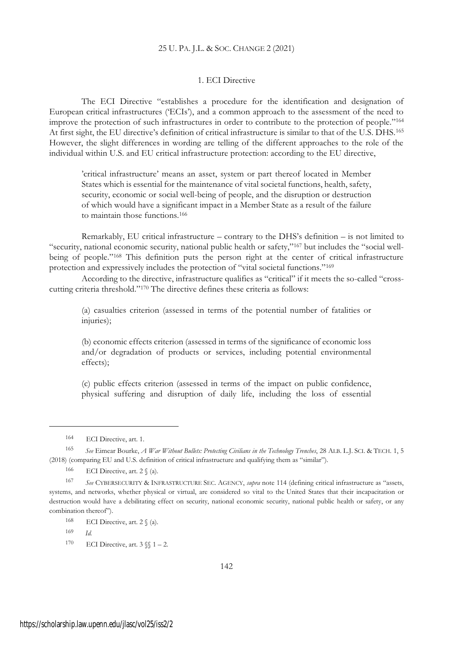## 25 U. PA. J.L.&SOC. CHANGE 2 (2021)

## 1. ECI Directive

The ECI Directive "establishes a procedure for the identification and designation of European critical infrastructures ('ECIs'), and a common approach to the assessment of the need to improve the protection of such infrastructures in order to contribute to the protection of people."<sup>164</sup> At first sight, the EU directive's definition of critical infrastructure is similar to that of the U.S. DHS.<sup>165</sup> However, the slight differences in wording are telling of the different approaches to the role of the individual within U.S. and EU critical infrastructure protection: according to the EU directive,

'critical infrastructure' means an asset, system or part thereof located in Member States which is essential for the maintenance of vital societal functions, health, safety, security, economic or social well-being of people, and the disruption or destruction of which would have a significant impact in a Member State as a result of the failure to maintain those functions.<sup>166</sup>

Remarkably, EU critical infrastructure – contrary to the DHS's definition – is not limited to "security, national economic security, national public health or safety,"<sup>167</sup> but includes the "social wellbeing of people."<sup>168</sup> This definition puts the person right at the center of critical infrastructure protection and expressively includes the protection of "vital societal functions."<sup>169</sup>

According to the directive, infrastructure qualifies as "critical" if it meets the so-called "crosscutting criteria threshold."<sup>170</sup> The directive defines these criteria as follows:

(a) casualties criterion (assessed in terms of the potential number of fatalities or injuries);

(b) economic effects criterion (assessed in terms of the significance of economic loss and/or degradation of products or services, including potential environmental effects);

(c) public effects criterion (assessed in terms of the impact on public confidence, physical suffering and disruption of daily life, including the loss of essential

<sup>164</sup> ECI Directive, art. 1.

<sup>165</sup> *See* Eimear Bourke, *A War Without Bullets: Protecting Civilians in the Technology Trenches*, 28 ALB. L.J. SCI.&TECH. 1, 5 (2018) (comparing EU and U.S. definition of critical infrastructure and qualifying them as "similar").

<sup>166</sup> ECI Directive, art. 2  $\mathcal{S}$  (a).

<sup>167</sup> *See* CYBERSECURITY & INFRASTRUCTURE SEC. AGENCY, *supra* note 114 (defining critical infrastructure as "assets, systems, and networks, whether physical or virtual, are considered so vital to the United States that their incapacitation or destruction would have a debilitating effect on security, national economic security, national public health or safety, or any combination thereof").

<sup>168</sup> ECI Directive, art.  $2 \n\int (a)$ .

<sup>169</sup> *Id.*

<sup>170</sup> ECI Directive, art.  $3 \text{ } \text{\ensuremath{\mathbb{S}}} \, 1 - 2$ .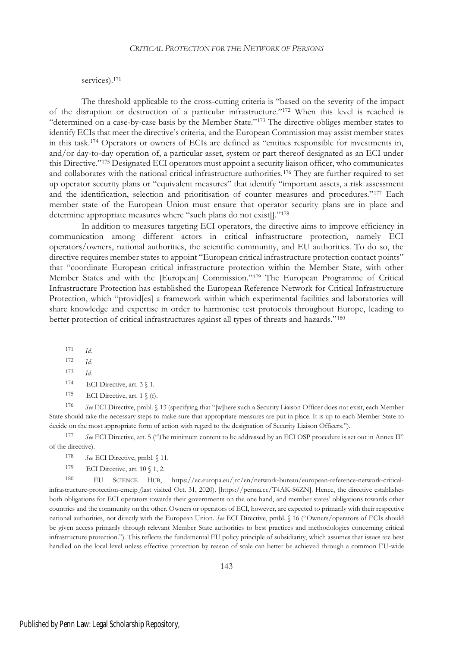## services).<sup>171</sup>

The threshold applicable to the cross-cutting criteria is "based on the severity of the impact of the disruption or destruction of a particular infrastructure."<sup>172</sup> When this level is reached is "determined on a case-by-case basis by the Member State."<sup>173</sup> The directive obliges member states to identify ECIs that meet the directive's criteria, and the European Commission may assist member states in this task.<sup>174</sup> Operators or owners of ECIs are defined as "entities responsible for investments in, and/or day-to-day operation of, a particular asset, system or part thereof designated as an ECI under this Directive."<sup>175</sup> Designated ECI operators must appoint a security liaison officer, who communicates and collaborates with the national critical infrastructure authorities.<sup>176</sup> They are further required to set up operator security plans or "equivalent measures" that identify "important assets, a risk assessment and the identification, selection and prioritisation of counter measures and procedures."<sup>177</sup> Each member state of the European Union must ensure that operator security plans are in place and determine appropriate measures where "such plans do not exist[]."<sup>178</sup>

In addition to measures targeting ECI operators, the directive aims to improve efficiency in communication among different actors in critical infrastructure protection, namely ECI operators/owners, national authorities, the scientific community, and EU authorities. To do so, the directive requires member states to appoint "European critical infrastructure protection contact points" that "coordinate European critical infrastructure protection within the Member State, with other Member States and with the [European] Commission."<sup>179</sup> The European Programme of Critical Infrastructure Protection has established the European Reference Network for Critical Infrastructure Protection, which "provid[es] a framework within which experimental facilities and laboratories will share knowledge and expertise in order to harmonise test protocols throughout Europe, leading to better protection of critical infrastructures against all types of threats and hazards."<sup>180</sup>

<sup>176</sup> *See* ECI Directive, pmbl. § 13 (specifying that "[w]here such a Security Liaison Officer does not exist, each Member State should take the necessary steps to make sure that appropriate measures are put in place. It is up to each Member State to decide on the most appropriate form of action with regard to the designation of Security Liaison Officers.").

<sup>177</sup> *See* ECI Directive, art. 5 ("The minimum content to be addressed by an ECI OSP procedure is set out in Annex II" of the directive).

- <sup>178</sup> *See* ECI Directive, pmbl. § 11.
- 179 ECI Directive, art.  $10 \text{ } \text{\ensuremath{\mathcal{S}}}$  1, 2.

<sup>180</sup> EU SCIENCE HUB, https://ec.europa.eu/jrc/en/network-bureau/european-reference-network-criticalinfrastructure-protection-erncip (last visited Oct. 31, 2020). [https://perma.cc/T4AK-S6ZN]. Hence, the directive establishes both obligations for ECI operators towards their governments on the one hand, and member states' obligations towards other countries and the community on the other. Owners or operators of ECI, however, are expected to primarily with their respective national authorities, not directly with the European Union. *See* ECI Directive, pmbl. § 16 ("Owners/operators of ECIs should be given access primarily through relevant Member State authorities to best practices and methodologies concerning critical infrastructure protection."). This reflects the fundamental EU policy principle of subsidiarity, which assumes that issues are best handled on the local level unless effective protection by reason of scale can better be achieved through a common EU-wide

<sup>171</sup> *Id.*

<sup>172</sup> *Id.*

<sup>173</sup> *Id.*

<sup>174</sup> ECI Directive, art. 3  $$1$ .

<sup>175</sup> ECI Directive, art.  $1 \n\$  (f).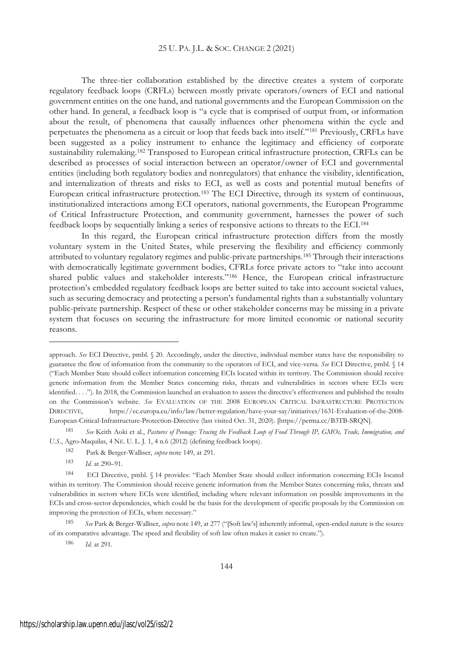The three-tier collaboration established by the directive creates a system of corporate regulatory feedback loops (CRFLs) between mostly private operators/owners of ECI and national government entities on the one hand, and national governments and the European Commission on the other hand. In general, a feedback loop is "a cycle that is comprised of output from, or information about the result, of phenomena that causally influences other phenomena within the cycle and perpetuates the phenomena as a circuit or loop that feeds back into itself."<sup>181</sup> Previously, CRFLs have been suggested as a policy instrument to enhance the legitimacy and efficiency of corporate sustainability rulemaking.<sup>182</sup> Transposed to European critical infrastructure protection, CRFLs can be described as processes of social interaction between an operator/owner of ECI and governmental entities (including both regulatory bodies and nonregulators) that enhance the visibility, identification, and internalization of threats and risks to ECI, as well as costs and potential mutual benefits of European critical infrastructure protection.<sup>183</sup> The ECI Directive, through its system of continuous, institutionalized interactions among ECI operators, national governments, the European Programme of Critical Infrastructure Protection, and community government, harnesses the power of such feedback loops by sequentially linking a series of responsive actions to threats to the ECI.<sup>184</sup>

In this regard, the European critical infrastructure protection differs from the mostly voluntary system in the United States, while preserving the flexibility and efficiency commonly attributed to voluntary regulatory regimes and public-private partnerships.<sup>185</sup> Through their interactions with democratically legitimate government bodies, CFRLs force private actors to "take into account shared public values and stakeholder interests."<sup>186</sup> Hence, the European critical infrastructure protection's embedded regulatory feedback loops are better suited to take into account societal values, such as securing democracy and protecting a person's fundamental rights than a substantially voluntary public-private partnership. Respect of these or other stakeholder concerns may be missing in a private system that focuses on securing the infrastructure for more limited economic or national security reasons.

<sup>181</sup> *See* Keith Aoki et al., *Pastures of Peonage: Tracing the Feedback Loop of Food Through IP, GMOs, Trade, Immigration, and U.S.*, Agro-Maquilas, 4 NE. U. L. J. 1, 4 n.6 (2012) (defining feedback loops).

<sup>186</sup> *Id*. at 291.

approach. *See* ECI Directive, pmbl. § 20. Accordingly, under the directive, individual member states have the responsibility to guarantee the flow of information from the community to the operators of ECI, and vice-versa. *See* ECI Directive, pmbl. § 14 ("Each Member State should collect information concerning ECIs located within its territory. The Commission should receive generic information from the Member States concerning risks, threats and vulnerabilities in sectors where ECIs were identified. . . ."). In 2018, the Commission launched an evaluation to assess the directive's effectiveness and published the results on the Commission's website. *See* EVALUATION OF THE 2008 EUROPEAN CRITICAL INFRASTRUCTURE PROTECTION DIRECTIVE, https://ec.europa.eu/info/law/better-regulation/have-your-say/initiatives/1631-Evaluation-of-the-2008- European-Critical-Infrastructure-Protection-Directive (last visited Oct. 31, 2020). [https://perma.cc/B3TB-SRQN].

<sup>182</sup> Park & Berger-Walliser, *supra* note 149, at 291.

<sup>183</sup> *Id*. at 290–91.

<sup>184</sup> ECI Directive, pmbl. § 14 provides: "Each Member State should collect information concerning ECIs located within its territory. The Commission should receive generic information from the Member States concerning risks, threats and vulnerabilities in sectors where ECIs were identified, including where relevant information on possible improvements in the ECIs and cross-sector dependencies, which could be the basis for the development of specific proposals by the Commission on improving the protection of ECIs, where necessary."

<sup>185</sup> *See* Park & Berger-Walliser, *supra* note 149, at 277 ("[Soft law's] inherently informal, open-ended nature is the source of its comparative advantage. The speed and flexibility of soft law often makes it easier to create.").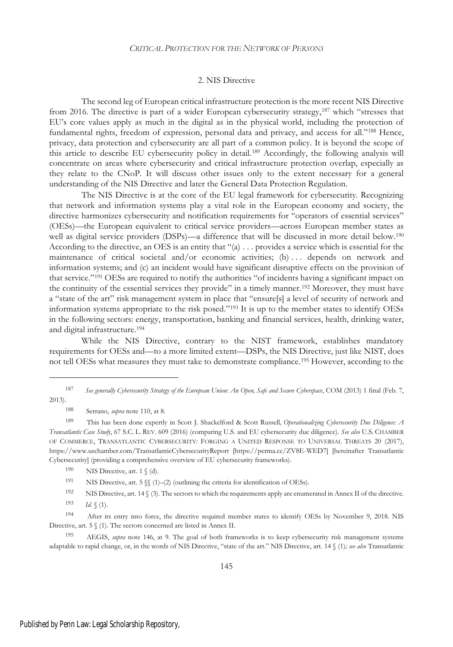## 2. NIS Directive

The second leg of European critical infrastructure protection is the more recent NIS Directive from 2016. The directive is part of a wider European cybersecurity strategy,<sup>187</sup> which "stresses that EU's core values apply as much in the digital as in the physical world, including the protection of fundamental rights, freedom of expression, personal data and privacy, and access for all."<sup>188</sup> Hence, privacy, data protection and cybersecurity are all part of a common policy. It is beyond the scope of this article to describe EU cybersecurity policy in detail.<sup>189</sup> Accordingly, the following analysis will concentrate on areas where cybersecurity and critical infrastructure protection overlap, especially as they relate to the CNoP. It will discuss other issues only to the extent necessary for a general understanding of the NIS Directive and later the General Data Protection Regulation.

The NIS Directive is at the core of the EU legal framework for cybersecurity. Recognizing that network and information systems play a vital role in the European economy and society, the directive harmonizes cybersecurity and notification requirements for "operators of essential services" (OESs)—the European equivalent to critical service providers—across European member states as well as digital service providers (DSPs)—a difference that will be discussed in more detail below.<sup>190</sup> According to the directive, an OES is an entity that " $(a) \dots$  provides a service which is essential for the maintenance of critical societal and/or economic activities; (b) ... depends on network and information systems; and (c) an incident would have significant disruptive effects on the provision of that service."<sup>191</sup> OESs are required to notify the authorities "of incidents having a significant impact on the continuity of the essential services they provide" in a timely manner.<sup>192</sup> Moreover, they must have a "state of the art" risk management system in place that "ensure[s] a level of security of network and information systems appropriate to the risk posed."<sup>193</sup> It is up to the member states to identify OESs in the following sectors: energy, transportation, banking and financial services, health, drinking water, and digital infrastructure.<sup>194</sup>

While the NIS Directive, contrary to the NIST framework, establishes mandatory requirements for OESs and—to a more limited extent—DSPs, the NIS Directive, just like NIST, does not tell OESs what measures they must take to demonstrate compliance.<sup>195</sup> However, according to the

<sup>188</sup> Serrano, *supra* note 110, at 8.

190 NIS Directive, art.  $1 \text{ }$  (d).

191 NIS Directive, art. 5  $\mathcal{S}(1)$ –(2) (outlining the criteria for identification of OESs).

192 NIS Directive, art. 14  $\frac{1}{3}$  (3). The sectors to which the requirements apply are enumerated in Annex II of the directive.

<sup>194</sup> After its entry into force, the directive required member states to identify OESs by November 9, 2018. NIS Directive, art. 5 § (1). The sectors concerned are listed in Annex II.

<sup>195</sup> AEGIS, *supra* note 146, at 9. The goal of both frameworks is to keep cybersecurity risk management systems adaptable to rapid change, or, in the words of NIS Directive, "state of the art." NIS Directive, art. 14 § (1)*; see also* Transatlantic

<sup>187</sup> *See generally Cybersecurity Strategy of the European Union: An Open, Safe and Secure Cyberspace*, COM (2013) 1 final (Feb. 7, 2013).

<sup>189</sup> This has been done expertly in Scott J. Shackelford & Scott Russell*, Operationalizing Cybersecurity Due Diligence: A Transatlantic Case Study*, 67 S.C. L. REV. 609 (2016) (comparing U.S. and EU cybersecurity due diligence). *See also* U.S. CHAMBER OF COMMERCE, TRANSATLANTIC CYBERSECURITY: FORGING A UNITED RESPONSE TO UNIVERSAL THREATS 20 (2017), https://www.uschamber.com/TransatlanticCybersecurityReport [https://perma.cc/ZV8E-WED7] [hereinafter Transatlantic Cybersecurity] (providing a comprehensive overview of EU cybersecurity frameworks).

<sup>193</sup> *Id*. § (1).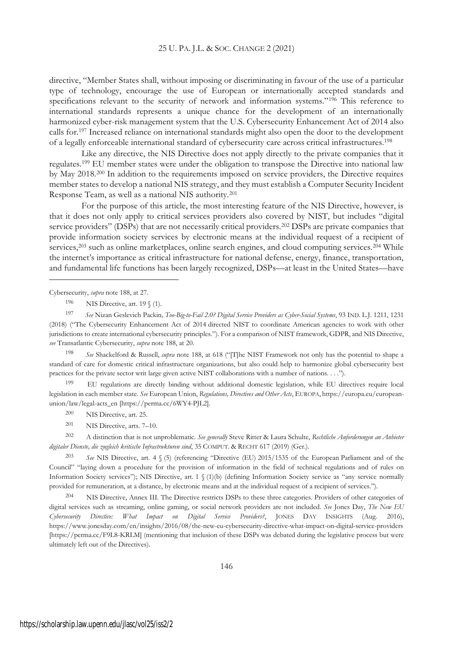directive, "Member States shall, without imposing or discriminating in favour of the use of a particular type of technology, encourage the use of European or internationally accepted standards and specifications relevant to the security of network and information systems."<sup>196</sup> This reference to international standards represents a unique chance for the development of an internationally harmonized cyber-risk management system that the U.S. Cybersecurity Enhancement Act of 2014 also calls for.<sup>197</sup> Increased reliance on international standards might also open the door to the development of a legally enforceable international standard of cybersecurity care across critical infrastructures.<sup>198</sup>

Like any directive, the NIS Directive does not apply directly to the private companies that it regulates.<sup>199</sup> EU member states were under the obligation to transpose the Directive into national law by May 2018.<sup>200</sup> In addition to the requirements imposed on service providers, the Directive requires member states to develop a national NIS strategy, and they must establish a Computer Security Incident Response Team, as well as a national NIS authority.<sup>201</sup>

For the purpose of this article, the most interesting feature of the NIS Directive, however, is that it does not only apply to critical services providers also covered by NIST, but includes "digital service providers" (DSPs) that are not necessarily critical providers.<sup>202</sup> DSPs are private companies that provide information society services by electronic means at the individual request of a recipient of services,<sup>203</sup> such as online marketplaces, online search engines, and cloud computing services.<sup>204</sup> While the internet's importance as critical infrastructure for national defense, energy, finance, transportation, and fundamental life functions has been largely recognized, DSPs—at least in the United States—have

Cybersecurity, *supra* note 188, at 27.

196 NIS Directive, art. 19  $(1)$ .

<sup>197</sup> *See* Nizan Geslevich Packin*, Too-Big-to-Fail 2.0? Digital Service Providers as Cyber-Social Systems*, 93 IND. L.J. 1211, 1231 (2018) ("The Cybersecurity Enhancement Act of 2014 directed NIST to coordinate American agencies to work with other jurisdictions to create international cybersecurity principles."). For a comparison of NIST framework, GDPR, and NIS Directive, *see* Transatlantic Cybersecurity, *supra* note 188, at 20.

<sup>198</sup> *See* Shackelford & Russell, *supra* note 188, at 618 ("[T]he NIST Framework not only has the potential to shape a standard of care for domestic critical infrastructure organizations, but also could help to harmonize global cybersecurity best practices for the private sector writ large given active NIST collaborations with a number of nations. . . .").

<sup>199</sup> EU regulations are directly binding without additional domestic legislation, while EU directives require local legislation in each member state. *See* European Union, *Regulations, Directives and Other Acts*, EUROPA, https://europa.eu/europeanunion/law/legal-acts\_en [https://perma.cc/6WY4-PJL2].

<sup>200</sup> NIS Directive, art. 25.

<sup>201</sup> NIS Directive, arts. 7–10.

<sup>202</sup> A distinction that is not unproblematic. *See generally* Steve Ritter & Laura Schulte, *Rechtliche Anforderungen an Anbieter digitaler Dienste, die zugleich kritische Infrastrukturen sind*, 35 COMPUT.&RECHT 617 (2019) (Ger.).

<sup>203</sup> *See* NIS Directive, art. 4 § (5) (referencing "Directive (EU) 2015/1535 of the European Parliament and of the Council" "laying down a procedure for the provision of information in the field of technical regulations and of rules on Information Society services"); NIS Directive, art. 1  $(1)(b)$  (defining Information Society service as "any service normally provided for remuneration, at a distance, by electronic means and at the individual request of a recipient of services.").

<sup>204</sup> NIS Directive, Annex III. The Directive restricts DSPs to these three categories. Providers of other categories of digital services such as streaming, online gaming, or social network providers are not included. *See* Jones Day, *The New EU Cybersecurity Directive: What Impact on Digital Service Providers?*, JONES DAY INSIGHTS (Aug. 2016), https://www.jonesday.com/en/insights/2016/08/the-new-eu-cybersecurity-directive-what-impact-on-digital-service-providers [https://perma.cc/F9L8-KRLM] (mentioning that inclusion of these DSPs was debated during the legislative process but were ultimately left out of the Directives).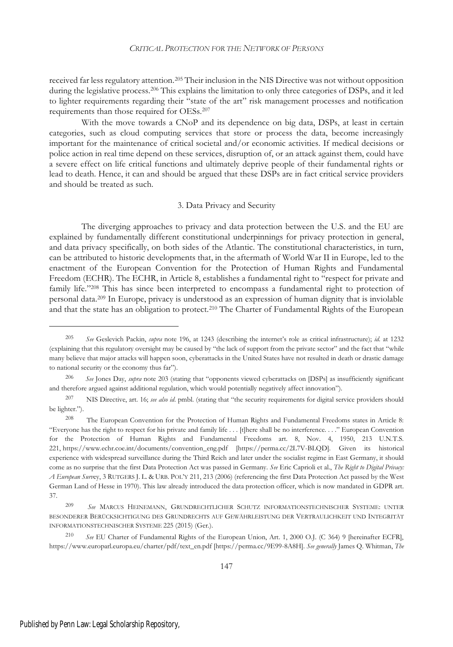received far less regulatory attention.<sup>205</sup> Their inclusion in the NIS Directive was not without opposition during the legislative process.<sup>206</sup> This explains the limitation to only three categories of DSPs, and it led to lighter requirements regarding their "state of the art" risk management processes and notification requirements than those required for OESs.<sup>207</sup>

With the move towards a CNoP and its dependence on big data, DSPs, at least in certain categories, such as cloud computing services that store or process the data, become increasingly important for the maintenance of critical societal and/or economic activities. If medical decisions or police action in real time depend on these services, disruption of, or an attack against them, could have a severe effect on life critical functions and ultimately deprive people of their fundamental rights or lead to death. Hence, it can and should be argued that these DSPs are in fact critical service providers and should be treated as such.

#### 3. Data Privacy and Security

The diverging approaches to privacy and data protection between the U.S. and the EU are explained by fundamentally different constitutional underpinnings for privacy protection in general, and data privacy specifically, on both sides of the Atlantic. The constitutional characteristics, in turn, can be attributed to historic developments that, in the aftermath of World War II in Europe, led to the enactment of the European Convention for the Protection of Human Rights and Fundamental Freedom (ECHR). The ECHR, in Article 8, establishes a fundamental right to "respect for private and family life."<sup>208</sup> This has since been interpreted to encompass a fundamental right to protection of personal data.<sup>209</sup> In Europe, privacy is understood as an expression of human dignity that is inviolable and that the state has an obligation to protect.<sup>210</sup> The Charter of Fundamental Rights of the European

<sup>205</sup> *See* Geslevich Packin, *supra* note 196, at 1243 (describing the internet's role as critical infrastructure); *id.* at 1232 (explaining that this regulatory oversight may be caused by "the lack of support from the private sector" and the fact that "while many believe that major attacks will happen soon, cyberattacks in the United States have not resulted in death or drastic damage to national security or the economy thus far").

<sup>206</sup> *See* Jones Day, *supra* note 203 (stating that "opponents viewed cyberattacks on [DSPs] as insufficiently significant and therefore argued against additional regulation, which would potentially negatively affect innovation").

<sup>207</sup> NIS Directive, art. 16; *see also id*. pmbl. (stating that "the security requirements for digital service providers should be lighter.").

<sup>208</sup> The European Convention for the Protection of Human Rights and Fundamental Freedoms states in Article 8: "Everyone has the right to respect for his private and family life . . . [t]here shall be no interference. . . ." European Convention for the Protection of Human Rights and Fundamental Freedoms art. 8, Nov. 4, 1950, 213 U.N.T.S. 221, https://www.echr.coe.int/documents/convention\_eng.pdf [https://perma.cc/2L7V-BLQD]. Given its historical experience with widespread surveillance during the Third Reich and later under the socialist regime in East Germany, it should come as no surprise that the first Data Protection Act was passed in Germany. *See* Eric Caprioli et al., *The Right to Digital Privacy: A European Surv*ey,3RUTGERS J. L. & URB. POL'Y 211, 213 (2006) (referencing the first Data Protection Act passed by the West German Land of Hesse in 1970). This law already introduced the data protection officer, which is now mandated in GDPR art. 37.

<sup>209</sup> *See* MARCUS HEINEMANN, GRUNDRECHTLICHER SCHUTZ INFORMATIONSTECHNISCHER SYSTEME: UNTER BESONDERER BERÜCKSICHTIGUNG DES GRUNDRECHTS AUF GEWÄHRLEISTUNG DER VERTRAULICHKEIT UND INTEGRITÄT INFORMATIONSTECHNISCHER SYSTEME 225 (2015) (Ger.).

<sup>210</sup> *See* EU Charter of Fundamental Rights of the European Union, Art. 1, 2000 O.J. (C 364)9[hereinafter ECFR], https://www.europarl.europa.eu/charter/pdf/text\_en.pdf [https://perma.cc/9E99-8A8H]. *See generally* James Q. Whitman, *The*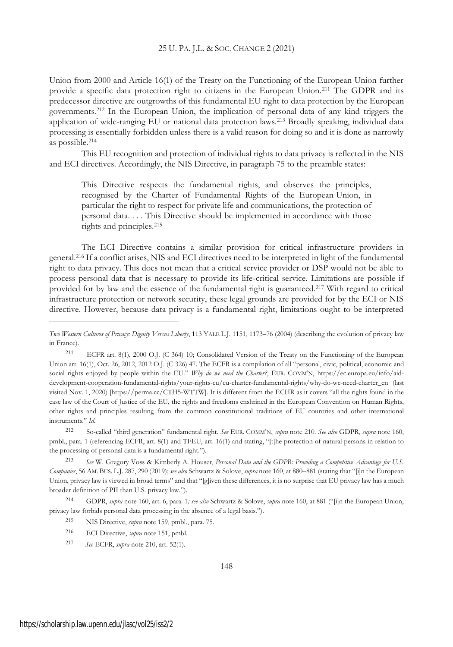Union from 2000 and Article 16(1) of the Treaty on the Functioning of the European Union further provide a specific data protection right to citizens in the European Union.<sup>211</sup> The GDPR and its predecessor directive are outgrowths of this fundamental EU right to data protection by the European governments.<sup>212</sup> In the European Union, the implication of personal data of any kind triggers the application of wide-ranging EU or national data protection laws.<sup>213</sup> Broadly speaking, individual data processing is essentially forbidden unless there is a valid reason for doing so and it is done as narrowly as possible.<sup>214</sup>

This EU recognition and protection of individual rights to data privacy is reflected in the NIS and ECI directives. Accordingly, the NIS Directive, in paragraph 75 to the preamble states:

This Directive respects the fundamental rights, and observes the principles, recognised by the Charter of Fundamental Rights of the European Union, in particular the right to respect for private life and communications, the protection of personal data. . . . This Directive should be implemented in accordance with those rights and principles.<sup>215</sup>

The ECI Directive contains a similar provision for critical infrastructure providers in general.<sup>216</sup> If a conflict arises, NIS and ECI directives need to be interpreted in light of the fundamental right to data privacy. This does not mean that a critical service provider or DSP would not be able to process personal data that is necessary to provide its life-critical service. Limitations are possible if provided for by law and the essence of the fundamental right is guaranteed.<sup>217</sup> With regard to critical infrastructure protection or network security, these legal grounds are provided for by the ECI or NIS directive. However, because data privacy is a fundamental right, limitations ought to be interpreted

<sup>212</sup> So-called "third generation" fundamental right. *See* EUR. COMM'N, *supra* note 210. *See also* GDPR, *supra* note 160, pmbl., para. 1 (referencing ECFR, art. 8(1) and TFEU, art. 16(1) and stating, "[t]he protection of natural persons in relation to the processing of personal data is a fundamental right.").

<sup>213</sup> *See* W. Gregory Voss & Kimberly A. Houser, *Personal Data and the GDPR: Providing a Competitive Advantage for U.S. Companies*, 56 AM. BUS. L.J. 287, 290 (2019); *see also* Schwartz & Solove, *supra* note 160, at 880–881 (stating that "[i]n the European Union, privacy law is viewed in broad terms" and that "[g]iven these differences, it is no surprise that EU privacy law has a much broader definition of PII than U.S. privacy law.").

<sup>214</sup> GDPR, *supra* note 160, art. 6, para. 1*; see also* Schwartz & Solove, *supra* note 160, at 881 ("[i]n the European Union, privacy law forbids personal data processing in the absence of a legal basis.").

- <sup>215</sup> NIS Directive, *supra* note 159, pmbl., para. 75*.*
- <sup>216</sup> ECI Directive, *supra* note 151, pmbl.
- <sup>217</sup> *See* ECFR, *supra* note 210, art. 52(1).

*Two Western Cultures of Privacy: Dignity Versus Liberty*, 113 YALE L.J. 1151, 1173–76 (2004) (describing the evolution of privacy law in France).

<sup>211</sup> ECFR art. 8(1), 2000 O.J. (C 364) 10; Consolidated Version of the Treaty on the Functioning of the European Union art. 16(1), Oct. 26, 2012, 2012 O.J. (C 326) 47. The ECFR is a compilation of all "personal, civic, political, economic and social rights enjoyed by people within the EU." *Why do we need the Charter?*, EUR. COMM'N, https://ec.europa.eu/info/aiddevelopment-cooperation-fundamental-rights/your-rights-eu/eu-charter-fundamental-rights/why-do-we-need-charter\_en (last visited Nov. 1, 2020) [https://perma.cc/CTH5-WTTW]. It is different from the ECHR as it covers "all the rights found in the case law of the Court of Justice of the EU, the rights and freedoms enshrined in the European Convention on Human Rights, other rights and principles resulting from the common constitutional traditions of EU countries and other international instruments." *Id*.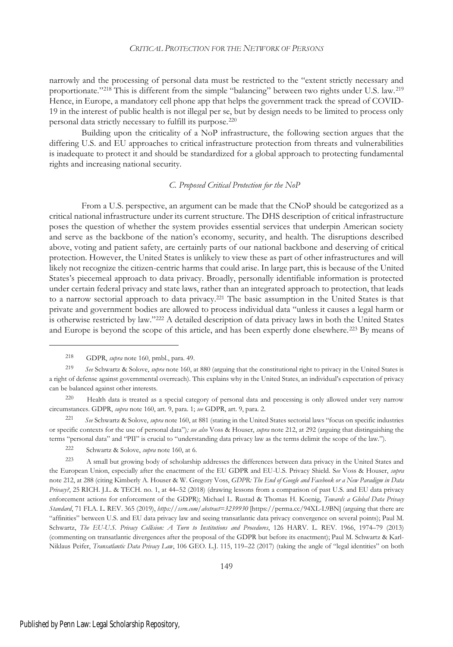narrowly and the processing of personal data must be restricted to the "extent strictly necessary and proportionate."<sup>218</sup> This is different from the simple "balancing" between two rights under U.S. law.<sup>219</sup> Hence, in Europe, a mandatory cell phone app that helps the government track the spread of COVID-19 in the interest of public health is not illegal per se, but by design needs to be limited to process only personal data strictly necessary to fulfill its purpose.<sup>220</sup>

Building upon the criticality of a NoP infrastructure, the following section argues that the differing U.S. and EU approaches to critical infrastructure protection from threats and vulnerabilities is inadequate to protect it and should be standardized for a global approach to protecting fundamental rights and increasing national security.

## *C. Proposed Critical Protection for the NoP*

From a U.S. perspective, an argument can be made that the CNoP should be categorized as a critical national infrastructure under its current structure. The DHS description of critical infrastructure poses the question of whether the system provides essential services that underpin American society and serve as the backbone of the nation's economy, security, and health. The disruptions described above, voting and patient safety, are certainly parts of our national backbone and deserving of critical protection. However, the United States is unlikely to view these as part of other infrastructures and will likely not recognize the citizen-centric harms that could arise. In large part, this is because of the United States's piecemeal approach to data privacy. Broadly, personally identifiable information is protected under certain federal privacy and state laws, rather than an integrated approach to protection, that leads to a narrow sectorial approach to data privacy.<sup>221</sup> The basic assumption in the United States is that private and government bodies are allowed to process individual data "unless it causes a legal harm or is otherwise restricted by law."<sup>222</sup> A detailed description of data privacy laws in both the United States and Europe is beyond the scope of this article, and has been expertly done elsewhere.<sup>223</sup> By means of

<sup>221</sup> *See* Schwartz & Solove, *supra* note 160, at 881 (stating in the United States sectorial laws "focus on specific industries or specific contexts for the use of personal data")*; see also* Voss & Houser, *supra* note 212, at 292 (arguing that distinguishing the terms "personal data" and "PII" is crucial to "understanding data privacy law as the terms delimit the scope of the law.").

<sup>218</sup> GDPR, *supra* note 160, pmbl., para. 49.

<sup>219</sup> *See* Schwartz & Solove, *supra* note 160, at 880 (arguing that the constitutional right to privacy in the United States is a right of defense against governmental overreach). This explains why in the United States, an individual's expectation of privacy can be balanced against other interests.

<sup>220</sup> Health data is treated as a special category of personal data and processing is only allowed under very narrow circumstances. GDPR, *supra* note 160, art. 9, para. 1; *see* GDPR, art. 9, para. 2.

<sup>222</sup> Schwartz & Solove, *supra* note 160, at 6.

<sup>223</sup> A small but growing body of scholarship addresses the differences between data privacy in the United States and the European Union, especially after the enactment of the EU GDPR and EU-U.S. Privacy Shield. S*ee* Voss & Houser, *supra* note 212, at 288 (citing Kimberly A. Houser & W. Gregory Voss, *GDPR: The End of Google and Facebook or a New Paradigm in Data Privacy?*, 25 RICH. J.L. & TECH. no. 1, at 44–52 (2018) (drawing lessons from a comparison of past U.S. and EU data privacy enforcement actions for enforcement of the GDPR); Michael L. Rustad & Thomas H. Koenig, *Towards a Global Data Privacy Standard*, 71 FLA. L. REV. 365 (2019), *https://ssrn.com/abstract=3239930* [https://perma.cc/94XL-L9BN] (arguing that there are "affinities" between U.S. and EU data privacy law and seeing transatlantic data privacy convergence on several points); Paul M. Schwartz, *The EU-U.S. Privacy Collision: A Turn to Institutions and Procedures*, 126 HARV. L. REV. 1966, 1974–79 (2013) (commenting on transatlantic divergences after the proposal of the GDPR but before its enactment); Paul M. Schwartz & Karl-Niklaus Peifer, *Transatlantic Data Privacy Law*, 106 GEO. L.J. 115, 119–22 (2017) (taking the angle of "legal identities" on both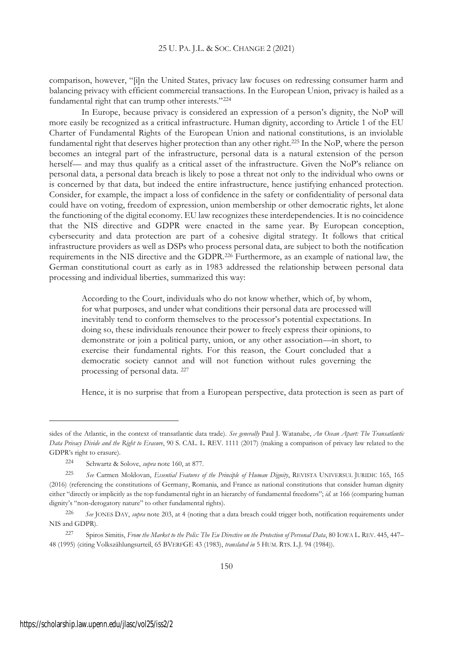comparison, however, "[i]n the United States, privacy law focuses on redressing consumer harm and balancing privacy with efficient commercial transactions. In the European Union, privacy is hailed as a fundamental right that can trump other interests."<sup>224</sup>

In Europe, because privacy is considered an expression of a person's dignity, the NoP will more easily be recognized as a critical infrastructure. Human dignity, according to Article 1 of the EU Charter of Fundamental Rights of the European Union and national constitutions, is an inviolable fundamental right that deserves higher protection than any other right.<sup>225</sup> In the NoP, where the person becomes an integral part of the infrastructure, personal data is a natural extension of the person herself— and may thus qualify as a critical asset of the infrastructure. Given the NoP's reliance on personal data, a personal data breach is likely to pose a threat not only to the individual who owns or is concerned by that data, but indeed the entire infrastructure, hence justifying enhanced protection. Consider, for example, the impact a loss of confidence in the safety or confidentiality of personal data could have on voting, freedom of expression, union membership or other democratic rights, let alone the functioning of the digital economy. EU law recognizes these interdependencies. It is no coincidence that the NIS directive and GDPR were enacted in the same year. By European conception, cybersecurity and data protection are part of a cohesive digital strategy. It follows that critical infrastructure providers as well as DSPs who process personal data, are subject to both the notification requirements in the NIS directive and the GDPR.<sup>226</sup> Furthermore, as an example of national law, the German constitutional court as early as in 1983 addressed the relationship between personal data processing and individual liberties, summarized this way:

According to the Court, individuals who do not know whether, which of, by whom, for what purposes, and under what conditions their personal data are processed will inevitably tend to conform themselves to the processor's potential expectations. In doing so, these individuals renounce their power to freely express their opinions, to demonstrate or join a political party, union, or any other association—in short, to exercise their fundamental rights. For this reason, the Court concluded that a democratic society cannot and will not function without rules governing the processing of personal data. <sup>227</sup>

Hence, it is no surprise that from a European perspective, data protection is seen as part of

sides of the Atlantic, in the context of transatlantic data trade). *See generally* Paul J. Watanabe, *An Ocean Apart: The Transatlantic Data Privacy Divide and the Right to Erasure*, 90 S. CAL. L. REV. 1111 (2017) (makingacomparison of privacy law related to the GDPR's right to erasure).

<sup>224</sup> Schwartz & Solove, *supra* note 160, at 877.

<sup>225</sup> *See* Carmen Moldovan, *Essential Features of the Principle of Human Dignity*, REVISTA UNIVERSUL JURIDIC 165, 165 (2016) (referencing the constitutions of Germany, Romania, and France as national constitutions that consider human dignity either "directly or implicitly as the top fundamental right in an hierarchy of fundamental freedoms"; *id.* at 166 (comparing human dignity's "non-derogatory nature" to other fundamental rights).

<sup>226</sup> *See* JONES DAY, *supra* note 203, at 4 (noting that a data breach could trigger both, notification requirements under NIS and GDPR).

<sup>227</sup> Spiros Simitis, *From the Market to the Polis: The Eu Directive on the Protection of Personal Data*, 80 IOWA L. REV. 445, 447– 48 (1995) (citing Volkszählungsurteil, 65 BVERFGE 43 (1983), *translated in* 5 HUM. RTS. L.J. 94 (1984)).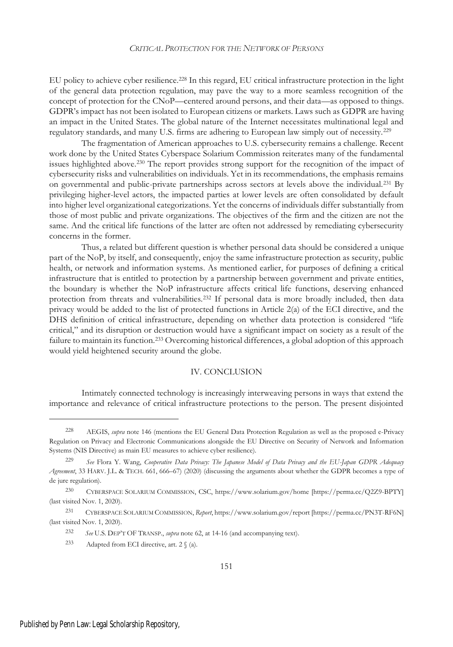EU policy to achieve cyber resilience.<sup>228</sup> In this regard, EU critical infrastructure protection in the light of the general data protection regulation, may pave the way to a more seamless recognition of the concept of protection for the CNoP—centered around persons, and their data—as opposed to things. GDPR's impact has not been isolated to European citizens or markets. Laws such as GDPR are having an impact in the United States. The global nature of the Internet necessitates multinational legal and regulatory standards, and many U.S. firms are adhering to European law simply out of necessity.<sup>229</sup>

The fragmentation of American approaches to U.S. cybersecurity remains a challenge. Recent work done by the United States Cyberspace Solarium Commission reiterates many of the fundamental issues highlighted above.<sup>230</sup> The report provides strong support for the recognition of the impact of cybersecurity risks and vulnerabilities on individuals. Yet in its recommendations, the emphasis remains on governmental and public-private partnerships across sectors at levels above the individual.<sup>231</sup> By privileging higher-level actors, the impacted parties at lower levels are often consolidated by default into higher level organizational categorizations. Yet the concerns of individuals differ substantially from those of most public and private organizations. The objectives of the firm and the citizen are not the same. And the critical life functions of the latter are often not addressed by remediating cybersecurity concerns in the former.

Thus, a related but different question is whether personal data should be considered a unique part of the NoP, by itself, and consequently, enjoy the same infrastructure protection as security, public health, or network and information systems. As mentioned earlier, for purposes of defining a critical infrastructure that is entitled to protection by a partnership between government and private entities, the boundary is whether the NoP infrastructure affects critical life functions, deserving enhanced protection from threats and vulnerabilities.<sup>232</sup> If personal data is more broadly included, then data privacy would be added to the list of protected functions in Article 2(a) of the ECI directive, and the DHS definition of critical infrastructure, depending on whether data protection is considered "life critical," and its disruption or destruction would have a significant impact on society as a result of the failure to maintain its function.<sup>233</sup> Overcoming historical differences, a global adoption of this approach would yield heightened security around the globe.

## IV. CONCLUSION

Intimately connected technology is increasingly interweaving persons in ways that extend the importance and relevance of critical infrastructure protections to the person. The present disjointed

<sup>228</sup> AEGIS, *supra* note 146 (mentions the EU General Data Protection Regulation as well as the proposed e-Privacy Regulation on Privacy and Electronic Communications alongside the EU Directive on Security of Network and Information Systems (NIS Directive) as main EU measures to achieve cyber resilience).

<sup>229</sup> *See* Flora Y. Wang, *Cooperative Data Privacy: The Japanese Model of Data Privacy and the EU-Japan GDPR Adequacy Agreement*, 33 HARV. J.L.&TECH. 661, 666–67) (2020) (discussing the arguments about whether the GDPR becomes a type of de jure regulation).

<sup>230</sup> CYBERSPACE SOLARIUM COMMISSION, CSC, https://www.solarium.gov/home [https://perma.cc/Q2Z9-BPTY] (last visited Nov. 1, 2020).

<sup>231</sup> CYBERSPACE SOLARIUM COMMISSION, *Report*, https://www.solarium.gov/report [https://perma.cc/PN3T-RF6N] (last visited Nov. 1, 2020).

<sup>232</sup> *See* U.S. DEP'<sup>T</sup> OF TRANSP., *supra* note 62, at 14-16 (and accompanying text).

<sup>&</sup>lt;sup>233</sup> Adapted from ECI directive, art.  $2 \n\sqrt[6]{(a)}$ .